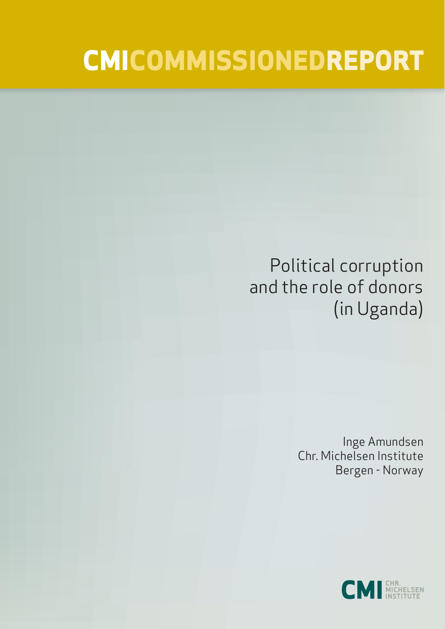# **CMICOMMISSIONEDREPORT**

# Political corruption and the role of donors (in Uganda)

Inge Amundsen Chr. Michelsen Institute Bergen - Norway

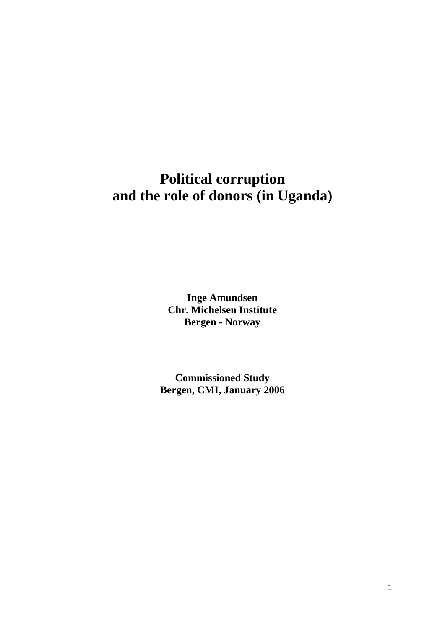# **Political corruption and the role of donors (in Uganda)**

**Inge Amundsen Chr. Michelsen Institute Bergen - Norway**

**Commissioned Study Bergen, CMI, January 2006**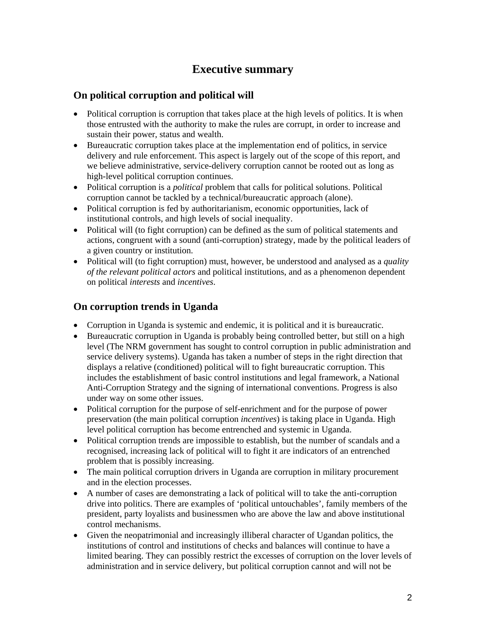# **Executive summary**

#### **On political corruption and political will**

- Political corruption is corruption that takes place at the high levels of politics. It is when those entrusted with the authority to make the rules are corrupt, in order to increase and sustain their power, status and wealth.
- Bureaucratic corruption takes place at the implementation end of politics, in service delivery and rule enforcement. This aspect is largely out of the scope of this report, and we believe administrative, service-delivery corruption cannot be rooted out as long as high-level political corruption continues.
- Political corruption is a *political* problem that calls for political solutions. Political corruption cannot be tackled by a technical/bureaucratic approach (alone).
- Political corruption is fed by authoritarianism, economic opportunities, lack of institutional controls, and high levels of social inequality.
- Political will (to fight corruption) can be defined as the sum of political statements and actions, congruent with a sound (anti-corruption) strategy, made by the political leaders of a given country or institution.
- Political will (to fight corruption) must, however, be understood and analysed as a *quality of the relevant political actors* and political institutions, and as a phenomenon dependent on political *interests* and *incentives*.

#### **On corruption trends in Uganda**

- Corruption in Uganda is systemic and endemic, it is political and it is bureaucratic.
- Bureaucratic corruption in Uganda is probably being controlled better, but still on a high level (The NRM government has sought to control corruption in public administration and service delivery systems). Uganda has taken a number of steps in the right direction that displays a relative (conditioned) political will to fight bureaucratic corruption. This includes the establishment of basic control institutions and legal framework, a National Anti-Corruption Strategy and the signing of international conventions. Progress is also under way on some other issues.
- Political corruption for the purpose of self-enrichment and for the purpose of power preservation (the main political corruption *incentives*) is taking place in Uganda. High level political corruption has become entrenched and systemic in Uganda.
- Political corruption trends are impossible to establish, but the number of scandals and a recognised, increasing lack of political will to fight it are indicators of an entrenched problem that is possibly increasing.
- The main political corruption drivers in Uganda are corruption in military procurement and in the election processes.
- A number of cases are demonstrating a lack of political will to take the anti-corruption drive into politics. There are examples of 'political untouchables', family members of the president, party loyalists and businessmen who are above the law and above institutional control mechanisms.
- Given the neopatrimonial and increasingly illiberal character of Ugandan politics, the institutions of control and institutions of checks and balances will continue to have a limited bearing. They can possibly restrict the excesses of corruption on the lover levels of administration and in service delivery, but political corruption cannot and will not be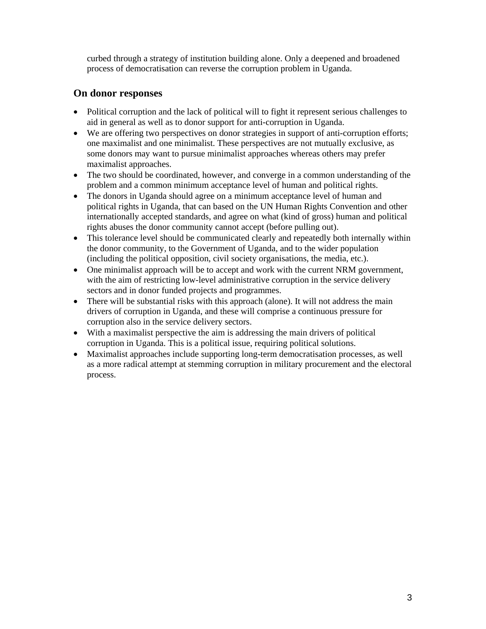curbed through a strategy of institution building alone. Only a deepened and broadened process of democratisation can reverse the corruption problem in Uganda.

#### **On donor responses**

- Political corruption and the lack of political will to fight it represent serious challenges to aid in general as well as to donor support for anti-corruption in Uganda.
- We are offering two perspectives on donor strategies in support of anti-corruption efforts; one maximalist and one minimalist. These perspectives are not mutually exclusive, as some donors may want to pursue minimalist approaches whereas others may prefer maximalist approaches.
- The two should be coordinated, however, and converge in a common understanding of the problem and a common minimum acceptance level of human and political rights.
- The donors in Uganda should agree on a minimum acceptance level of human and political rights in Uganda, that can based on the UN Human Rights Convention and other internationally accepted standards, and agree on what (kind of gross) human and political rights abuses the donor community cannot accept (before pulling out).
- This tolerance level should be communicated clearly and repeatedly both internally within the donor community, to the Government of Uganda, and to the wider population (including the political opposition, civil society organisations, the media, etc.).
- One minimalist approach will be to accept and work with the current NRM government, with the aim of restricting low-level administrative corruption in the service delivery sectors and in donor funded projects and programmes.
- There will be substantial risks with this approach (alone). It will not address the main drivers of corruption in Uganda, and these will comprise a continuous pressure for corruption also in the service delivery sectors.
- With a maximalist perspective the aim is addressing the main drivers of political corruption in Uganda. This is a political issue, requiring political solutions.
- Maximalist approaches include supporting long-term democratisation processes, as well as a more radical attempt at stemming corruption in military procurement and the electoral process.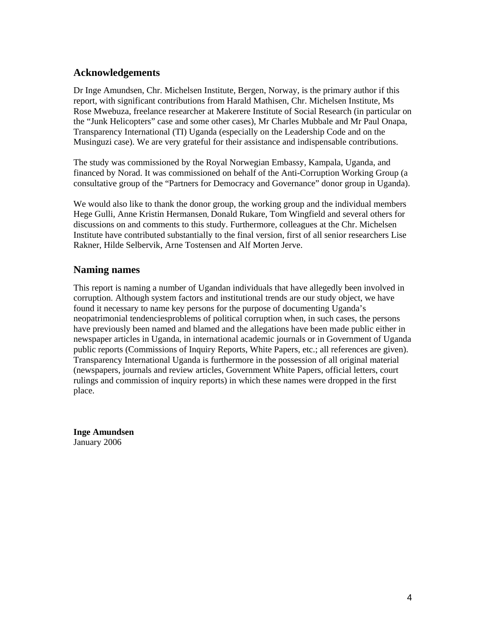#### **Acknowledgements**

Dr Inge Amundsen, Chr. Michelsen Institute, Bergen, Norway, is the primary author if this report, with significant contributions from Harald Mathisen, Chr. Michelsen Institute, Ms Rose Mwebuza, freelance researcher at Makerere Institute of Social Research (in particular on the "Junk Helicopters" case and some other cases), Mr Charles Mubbale and Mr Paul Onapa, Transparency International (TI) Uganda (especially on the Leadership Code and on the Musinguzi case). We are very grateful for their assistance and indispensable contributions.

The study was commissioned by the Royal Norwegian Embassy, Kampala, Uganda, and financed by Norad. It was commissioned on behalf of the Anti-Corruption Working Group (a consultative group of the "Partners for Democracy and Governance" donor group in Uganda).

We would also like to thank the donor group, the working group and the individual members Hege Gulli, Anne Kristin Hermansen, Donald Rukare, Tom Wingfield and several others for discussions on and comments to this study. Furthermore, colleagues at the Chr. Michelsen Institute have contributed substantially to the final version, first of all senior researchers Lise Rakner, Hilde Selbervik, Arne Tostensen and Alf Morten Jerve.

#### **Naming names**

This report is naming a number of Ugandan individuals that have allegedly been involved in corruption. Although system factors and institutional trends are our study object, we have found it necessary to name key persons for the purpose of documenting Uganda's neopatrimonial tendenciesproblems of political corruption when, in such cases, the persons have previously been named and blamed and the allegations have been made public either in newspaper articles in Uganda, in international academic journals or in Government of Uganda public reports (Commissions of Inquiry Reports, White Papers, etc.; all references are given). Transparency International Uganda is furthermore in the possession of all original material (newspapers, journals and review articles, Government White Papers, official letters, court rulings and commission of inquiry reports) in which these names were dropped in the first place.

**Inge Amundsen**  January 2006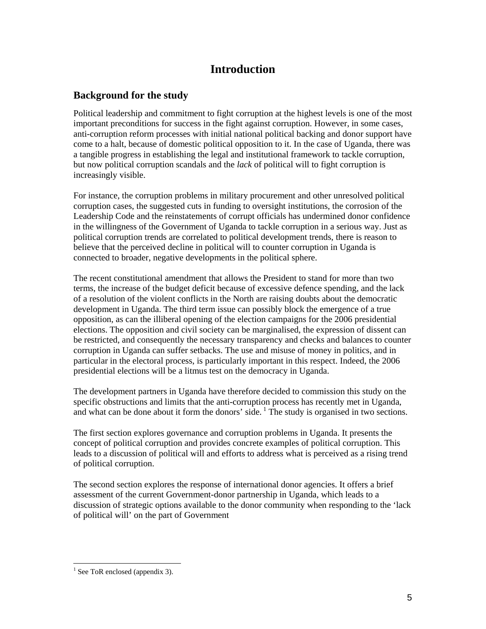# **Introduction**

#### **Background for the study**

Political leadership and commitment to fight corruption at the highest levels is one of the most important preconditions for success in the fight against corruption. However, in some cases, anti-corruption reform processes with initial national political backing and donor support have come to a halt, because of domestic political opposition to it. In the case of Uganda, there was a tangible progress in establishing the legal and institutional framework to tackle corruption, but now political corruption scandals and the *lack* of political will to fight corruption is increasingly visible.

For instance, the corruption problems in military procurement and other unresolved political corruption cases, the suggested cuts in funding to oversight institutions, the corrosion of the Leadership Code and the reinstatements of corrupt officials has undermined donor confidence in the willingness of the Government of Uganda to tackle corruption in a serious way. Just as political corruption trends are correlated to political development trends, there is reason to believe that the perceived decline in political will to counter corruption in Uganda is connected to broader, negative developments in the political sphere.

The recent constitutional amendment that allows the President to stand for more than two terms, the increase of the budget deficit because of excessive defence spending, and the lack of a resolution of the violent conflicts in the North are raising doubts about the democratic development in Uganda. The third term issue can possibly block the emergence of a true opposition, as can the illiberal opening of the election campaigns for the 2006 presidential elections. The opposition and civil society can be marginalised, the expression of dissent can be restricted, and consequently the necessary transparency and checks and balances to counter corruption in Uganda can suffer setbacks. The use and misuse of money in politics, and in particular in the electoral process, is particularly important in this respect. Indeed, the 2006 presidential elections will be a litmus test on the democracy in Uganda.

The development partners in Uganda have therefore decided to commission this study on the specific obstructions and limits that the anti-corruption process has recently met in Uganda, and what can be done about it form the donors' side.  $\frac{1}{1}$  The study is organised in two sections.

The first section explores governance and corruption problems in Uganda. It presents the concept of political corruption and provides concrete examples of political corruption. This leads to a discussion of political will and efforts to address what is perceived as a rising trend of political corruption.

The second section explores the response of international donor agencies. It offers a brief assessment of the current Government-donor partnership in Uganda, which leads to a discussion of strategic options available to the donor community when responding to the 'lack of political will' on the part of Government

 $\overline{a}$  $<sup>1</sup>$  See ToR enclosed (appendix 3).</sup>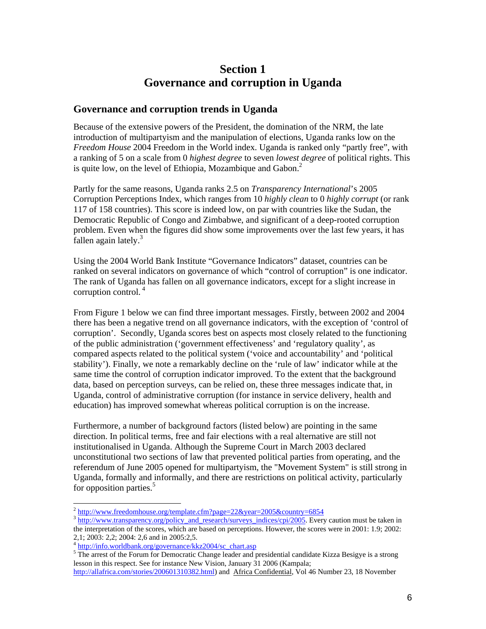## **Section 1 Governance and corruption in Uganda**

#### **Governance and corruption trends in Uganda**

Because of the extensive powers of the President, the domination of the NRM, the late introduction of multipartyism and the manipulation of elections, Uganda ranks low on the *Freedom House* 2004 Freedom in the World index. Uganda is ranked only "partly free", with a ranking of 5 on a scale from 0 *highest degree* to seven *lowest degree* of political rights. This is quite low, on the level of Ethiopia, Mozambique and Gabon. $<sup>2</sup>$ </sup>

Partly for the same reasons, Uganda ranks 2.5 on *Transparency International*'s 2005 Corruption Perceptions Index, which ranges from 10 *highly clean* to 0 *highly corrupt* (or rank 117 of 158 countries). This score is indeed low, on par with countries like the Sudan, the Democratic Republic of Congo and Zimbabwe, and significant of a deep-rooted corruption problem. Even when the figures did show some improvements over the last few years, it has fallen again lately.<sup>3</sup>

Using the 2004 World Bank Institute "Governance Indicators" dataset, countries can be ranked on several indicators on governance of which "control of corruption" is one indicator. The rank of Uganda has fallen on all governance indicators, except for a slight increase in corruption control. 4

From Figure 1 below we can find three important messages. Firstly, between 2002 and 2004 there has been a negative trend on all governance indicators, with the exception of 'control of corruption'. Secondly, Uganda scores best on aspects most closely related to the functioning of the public administration ('government effectiveness' and 'regulatory quality', as compared aspects related to the political system ('voice and accountability' and 'political stability'). Finally, we note a remarkably decline on the 'rule of law' indicator while at the same time the control of corruption indicator improved. To the extent that the background data, based on perception surveys, can be relied on, these three messages indicate that, in Uganda, control of administrative corruption (for instance in service delivery, health and education) has improved somewhat whereas political corruption is on the increase.

Furthermore, a number of background factors (listed below) are pointing in the same direction. In political terms, free and fair elections with a real alternative are still not institutionalised in Uganda. Although the Supreme Court in March 2003 declared unconstitutional two sections of law that prevented political parties from operating, and the referendum of June 2005 opened for multipartyism, the "Movement System" is still strong in Uganda, formally and informally, and there are restrictions on political activity, particularly for opposition parties.<sup>5</sup>

 $\overline{a}$  $\frac{2 \text{ http://www.freedombouse.org/template.cfm?page=22&year=2005&country=6854}}{3 \text{ http://www.transparency.org/policy} and research/suvveys indices/cpi/2005. Every caution must be taken in$ 

the interpretation of the scores, which are based on perceptions. However, the scores were in 2001: 1.9; 2002: 2,1; 2003: 2,2; 2004: 2,6 and in 2005:2,5.

 $^{4}$  http://info.worldbank.org/governance/kkz2004/sc\_chart.asp

<sup>&</sup>lt;sup>5</sup>The arrest of the Forum for Democratic Change leader and presidential candidate Kizza Besigye is a strong lesson in this respect. See for instance New Vision, January 31 2006 (Kampala;

http://allafrica.com/stories/200601310382.html) and Africa Confidential, Vol 46 Number 23, 18 November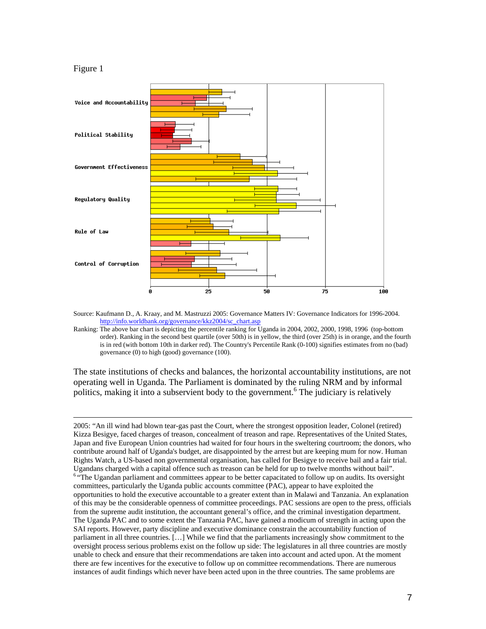#### Figure 1

 $\overline{a}$ 



Source: Kaufmann D., A. Kraay, and M. Mastruzzi 2005: Governance Matters IV: Governance Indicators for 1996-2004. http://info.worldbank.org/governance/kkz2004/sc\_chart.asp

Ranking: The above bar chart is depicting the percentile ranking for Uganda in 2004, 2002, 2000, 1998, 1996 (top-bottom order). Ranking in the second best quartile (over 50th) is in yellow, the third (over 25th) is in orange, and the fourth is in red (with bottom 10th in darker red). The Country's Percentile Rank (0-100) signifies estimates from no (bad) governance (0) to high (good) governance (100).

The state institutions of checks and balances, the horizontal accountability institutions, are not operating well in Uganda. The Parliament is dominated by the ruling NRM and by informal politics, making it into a subservient body to the government.<sup>6</sup> The judiciary is relatively

2005: "An ill wind had blown tear-gas past the Court, where the strongest opposition leader, Colonel (retired) Kizza Besigye, faced charges of treason, concealment of treason and rape. Representatives of the United States, Japan and five European Union countries had waited for four hours in the sweltering courtroom; the donors, who contribute around half of Uganda's budget, are disappointed by the arrest but are keeping mum for now. Human Rights Watch, a US-based non governmental organisation, has called for Besigye to receive bail and a fair trial. Ugandans charged with a capital offence such as treason can be held for up to twelve months without bail". <sup>6</sup> "The Ugandan parliament and committees appear to be better capacitated to follow up on audits. Its oversight committees, particularly the Uganda public accounts committee (PAC), appear to have exploited the opportunities to hold the executive accountable to a greater extent than in Malawi and Tanzania. An explanation of this may be the considerable openness of committee proceedings. PAC sessions are open to the press, officials from the supreme audit institution, the accountant general's office, and the criminal investigation department. The Uganda PAC and to some extent the Tanzania PAC, have gained a modicum of strength in acting upon the SAI reports. However, party discipline and executive dominance constrain the accountability function of parliament in all three countries. […] While we find that the parliaments increasingly show commitment to the oversight process serious problems exist on the follow up side: The legislatures in all three countries are mostly unable to check and ensure that their recommendations are taken into account and acted upon. At the moment there are few incentives for the executive to follow up on committee recommendations. There are numerous instances of audit findings which never have been acted upon in the three countries. The same problems are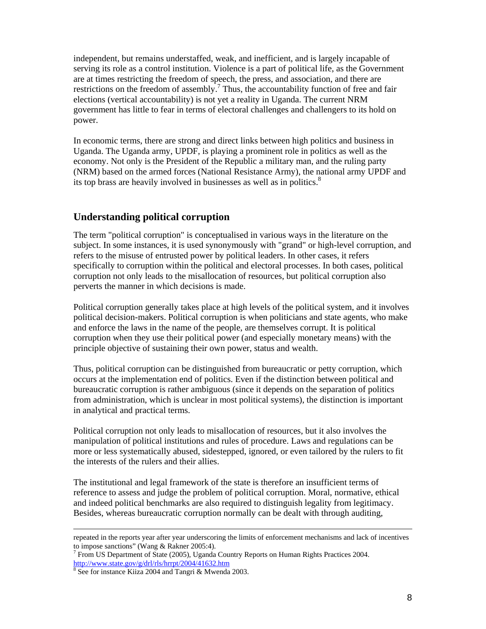independent, but remains understaffed, weak, and inefficient, and is largely incapable of serving its role as a control institution. Violence is a part of political life, as the Government are at times restricting the freedom of speech, the press, and association, and there are restrictions on the freedom of assembly.<sup>7</sup> Thus, the accountability function of free and fair elections (vertical accountability) is not yet a reality in Uganda. The current NRM government has little to fear in terms of electoral challenges and challengers to its hold on power.

In economic terms, there are strong and direct links between high politics and business in Uganda. The Uganda army, UPDF, is playing a prominent role in politics as well as the economy. Not only is the President of the Republic a military man, and the ruling party (NRM) based on the armed forces (National Resistance Army), the national army UPDF and its top brass are heavily involved in businesses as well as in politics. $8$ 

#### **Understanding political corruption**

The term "political corruption" is conceptualised in various ways in the literature on the subject. In some instances, it is used synonymously with "grand" or high-level corruption, and refers to the misuse of entrusted power by political leaders. In other cases, it refers specifically to corruption within the political and electoral processes. In both cases, political corruption not only leads to the misallocation of resources, but political corruption also perverts the manner in which decisions is made.

Political corruption generally takes place at high levels of the political system, and it involves political decision-makers. Political corruption is when politicians and state agents, who make and enforce the laws in the name of the people, are themselves corrupt. It is political corruption when they use their political power (and especially monetary means) with the principle objective of sustaining their own power, status and wealth.

Thus, political corruption can be distinguished from bureaucratic or petty corruption, which occurs at the implementation end of politics. Even if the distinction between political and bureaucratic corruption is rather ambiguous (since it depends on the separation of politics from administration, which is unclear in most political systems), the distinction is important in analytical and practical terms.

Political corruption not only leads to misallocation of resources, but it also involves the manipulation of political institutions and rules of procedure. Laws and regulations can be more or less systematically abused, sidestepped, ignored, or even tailored by the rulers to fit the interests of the rulers and their allies.

The institutional and legal framework of the state is therefore an insufficient terms of reference to assess and judge the problem of political corruption. Moral, normative, ethical and indeed political benchmarks are also required to distinguish legality from legitimacy. Besides, whereas bureaucratic corruption normally can be dealt with through auditing,

repeated in the reports year after year underscoring the limits of enforcement mechanisms and lack of incentives to impose sanctions" (Wang & Rakner 2005:4).

 $7$  From US Department of State (2005), Uganda Country Reports on Human Rights Practices 2004. http://www.state.gov/g/drl/rls/hrrpt/2004/41632.htm <sup>8</sup>

<sup>&</sup>lt;sup>8</sup> See for instance Kiiza 2004 and Tangri & Mwenda 2003.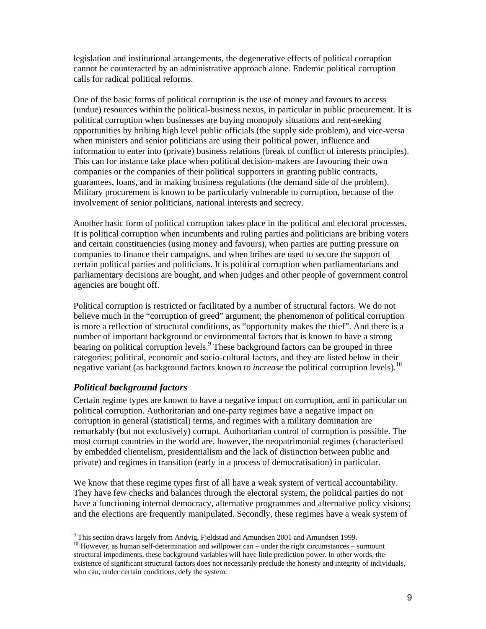legislation and institutional arrangements, the degenerative effects of political corruption cannot be counteracted by an administrative approach alone. Endemic political corruption calls for radical political reforms.

One of the basic forms of political corruption is the use of money and favours to access (undue) resources within the political-business nexus, in particular in public procurement. It is political corruption when businesses are buying monopoly situations and rent-seeking opportunities by bribing high level public officials (the supply side problem), and vice-versa when ministers and senior politicians are using their political power, influence and information to enter into (private) business relations (break of conflict of interests principles). This can for instance take place when political decision-makers are favouring their own companies or the companies of their political supporters in granting public contracts, guarantees, loans, and in making business regulations (the demand side of the problem). Military procurement is known to be particularly vulnerable to corruption, because of the involvement of senior politicians, national interests and secrecy.

Another basic form of political corruption takes place in the political and electoral processes. It is political corruption when incumbents and ruling parties and politicians are bribing voters and certain constituencies (using money and favours), when parties are putting pressure on companies to finance their campaigns, and when bribes are used to secure the support of certain political parties and politicians. It is political corruption when parliamentarians and parliamentary decisions are bought, and when judges and other people of government control agencies are bought off.

Political corruption is restricted or facilitated by a number of structural factors. We do not believe much in the "corruption of greed" argument; the phenomenon of political corruption is more a reflection of structural conditions, as "opportunity makes the thief". And there is a number of important background or environmental factors that is known to have a strong bearing on political corruption levels.<sup>9</sup> These background factors can be grouped in three categories; political, economic and socio-cultural factors, and they are listed below in their negative variant (as background factors known to *increase* the political corruption levels).<sup>10</sup>

#### *Political background factors*

Certain regime types are known to have a negative impact on corruption, and in particular on political corruption. Authoritarian and one-party regimes have a negative impact on corruption in general (statistical) terms, and regimes with a military domination are remarkably (but not exclusively) corrupt. Authoritarian control of corruption is possible. The most corrupt countries in the world are, however, the neopatrimonial regimes (characterised by embedded clientelism, presidentialism and the lack of distinction between public and private) and regimes in transition (early in a process of democratisation) in particular.

We know that these regime types first of all have a weak system of vertical accountability. They have few checks and balances through the electoral system, the political parties do not have a functioning internal democracy, alternative programmes and alternative policy visions; and the elections are frequently manipulated. Secondly, these regimes have a weak system of

<sup>&</sup>lt;sup>9</sup> This section draws largely from Andvig, Fjeldstad and Amundsen 2001 and Amundsen 1999.

<sup>&</sup>lt;sup>10</sup> However, as human self-determination and willpower can – under the right circumstances – surmount structural impediments, these background variables will have little prediction power. In other words, the existence of significant structural factors does not necessarily preclude the honesty and integrity of individuals, who can, under certain conditions, defy the system.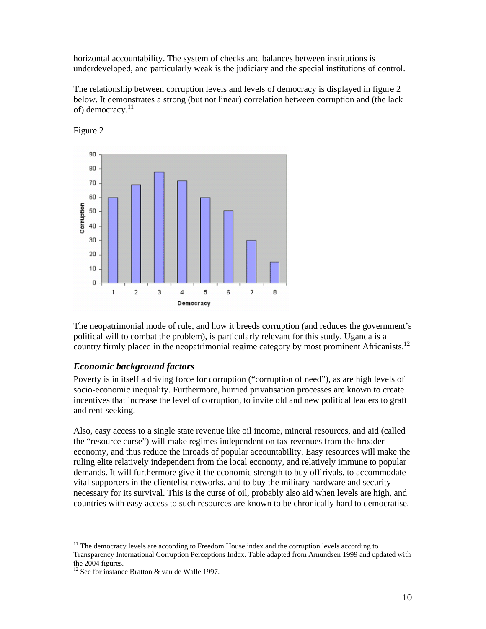horizontal accountability. The system of checks and balances between institutions is underdeveloped, and particularly weak is the judiciary and the special institutions of control.

The relationship between corruption levels and levels of democracy is displayed in figure 2 below. It demonstrates a strong (but not linear) correlation between corruption and (the lack of) democracy.<sup>11</sup>



Figure 2

The neopatrimonial mode of rule, and how it breeds corruption (and reduces the government's political will to combat the problem), is particularly relevant for this study. Uganda is a country firmly placed in the neopatrimonial regime category by most prominent Africanists.<sup>12</sup>

#### *Economic background factors*

Poverty is in itself a driving force for corruption ("corruption of need"), as are high levels of socio-economic inequality. Furthermore, hurried privatisation processes are known to create incentives that increase the level of corruption, to invite old and new political leaders to graft and rent-seeking.

Also, easy access to a single state revenue like oil income, mineral resources, and aid (called the "resource curse") will make regimes independent on tax revenues from the broader economy, and thus reduce the inroads of popular accountability. Easy resources will make the ruling elite relatively independent from the local economy, and relatively immune to popular demands. It will furthermore give it the economic strength to buy off rivals, to accommodate vital supporters in the clientelist networks, and to buy the military hardware and security necessary for its survival. This is the curse of oil, probably also aid when levels are high, and countries with easy access to such resources are known to be chronically hard to democratise.

 $11$  The democracy levels are according to Freedom House index and the corruption levels according to Transparency International Corruption Perceptions Index. Table adapted from Amundsen 1999 and updated with the 2004 figures.

<sup>&</sup>lt;sup>12</sup> See for instance Bratton  $&$  van de Walle 1997.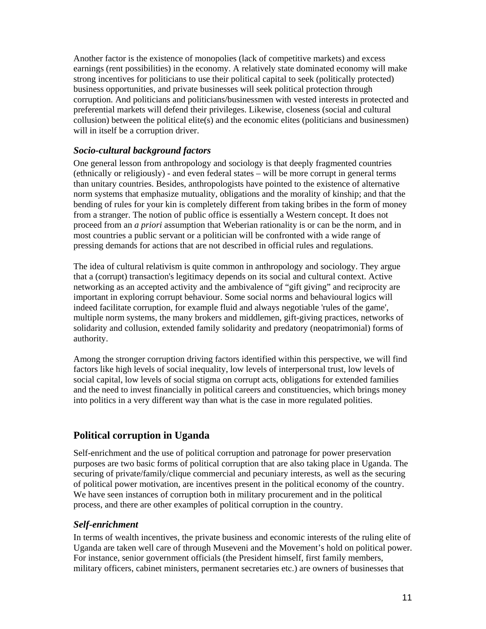Another factor is the existence of monopolies (lack of competitive markets) and excess earnings (rent possibilities) in the economy. A relatively state dominated economy will make strong incentives for politicians to use their political capital to seek (politically protected) business opportunities, and private businesses will seek political protection through corruption. And politicians and politicians/businessmen with vested interests in protected and preferential markets will defend their privileges. Likewise, closeness (social and cultural collusion) between the political elite(s) and the economic elites (politicians and businessmen) will in itself be a corruption driver.

#### *Socio-cultural background factors*

One general lesson from anthropology and sociology is that deeply fragmented countries (ethnically or religiously) - and even federal states – will be more corrupt in general terms than unitary countries. Besides, anthropologists have pointed to the existence of alternative norm systems that emphasize mutuality, obligations and the morality of kinship; and that the bending of rules for your kin is completely different from taking bribes in the form of money from a stranger. The notion of public office is essentially a Western concept. It does not proceed from an *a priori* assumption that Weberian rationality is or can be the norm, and in most countries a public servant or a politician will be confronted with a wide range of pressing demands for actions that are not described in official rules and regulations.

The idea of cultural relativism is quite common in anthropology and sociology. They argue that a (corrupt) transaction's legitimacy depends on its social and cultural context. Active networking as an accepted activity and the ambivalence of "gift giving" and reciprocity are important in exploring corrupt behaviour. Some social norms and behavioural logics will indeed facilitate corruption, for example fluid and always negotiable 'rules of the game', multiple norm systems, the many brokers and middlemen, gift-giving practices, networks of solidarity and collusion, extended family solidarity and predatory (neopatrimonial) forms of authority.

Among the stronger corruption driving factors identified within this perspective, we will find factors like high levels of social inequality, low levels of interpersonal trust, low levels of social capital, low levels of social stigma on corrupt acts, obligations for extended families and the need to invest financially in political careers and constituencies, which brings money into politics in a very different way than what is the case in more regulated polities.

#### **Political corruption in Uganda**

Self-enrichment and the use of political corruption and patronage for power preservation purposes are two basic forms of political corruption that are also taking place in Uganda. The securing of private/family/clique commercial and pecuniary interests, as well as the securing of political power motivation, are incentives present in the political economy of the country. We have seen instances of corruption both in military procurement and in the political process, and there are other examples of political corruption in the country.

#### *Self-enrichment*

In terms of wealth incentives, the private business and economic interests of the ruling elite of Uganda are taken well care of through Museveni and the Movement's hold on political power. For instance, senior government officials (the President himself, first family members, military officers, cabinet ministers, permanent secretaries etc.) are owners of businesses that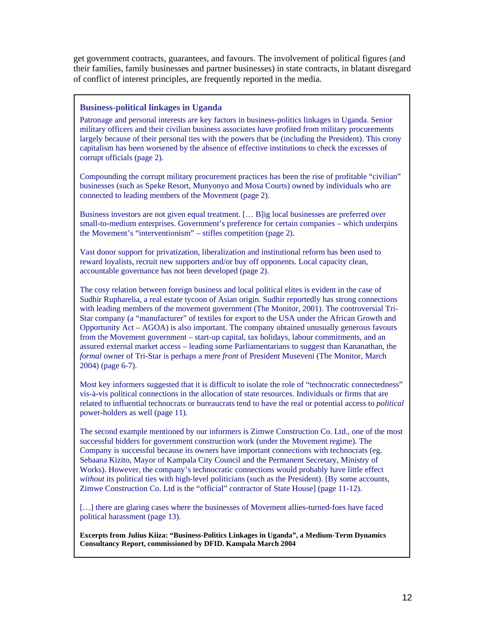get government contracts, guarantees, and favours. The involvement of political figures (and their families, family businesses and partner businesses) in state contracts, in blatant disregard of conflict of interest principles, are frequently reported in the media.

#### **Business-political linkages in Uganda**

Patronage and personal interests are key factors in business-politics linkages in Uganda. Senior military officers and their civilian business associates have profited from military procurements largely because of their personal ties with the powers that be (including the President). This crony capitalism has been worsened by the absence of effective institutions to check the excesses of corrupt officials (page 2).

Compounding the corrupt military procurement practices has been the rise of profitable "civilian" businesses (such as Speke Resort, Munyonyo and Mosa Courts) owned by individuals who are connected to leading members of the Movement (page 2).

Business investors are not given equal treatment. [… B]ig local businesses are preferred over small-to-medium enterprises. Government's preference for certain companies – which underpins the Movement's "interventionism" – stifles competition (page 2).

Vast donor support for privatization, liberalization and institutional reform has been used to reward loyalists, recruit new supporters and/or buy off opponents. Local capacity clean, accountable governance has not been developed (page 2).

The cosy relation between foreign business and local political elites is evident in the case of Sudhir Rupharelia, a real estate tycoon of Asian origin. Sudhir reportedly has strong connections with leading members of the movement government (The Monitor, 2001). The controversial Tri-Star company (a "manufacturer" of textiles for export to the USA under the African Growth and Opportunity Act – AGOA) is also important. The company obtained unusually generous favours from the Movement government – start-up capital, tax holidays, labour commitments, and an assured external market access – leading some Parliamentarians to suggest than Kananathan, the *formal* owner of Tri-Star is perhaps a mere *front* of President Museveni (The Monitor, March 2004) (page 6-7).

Most key informers suggested that it is difficult to isolate the role of "technocratic connectedness" vis-à-vis political connections in the allocation of state resources. Individuals or firms that are related to influential technocrats or bureaucrats tend to have the real or potential access to *political* power-holders as well (page 11).

The second example mentioned by our informers is Zimwe Construction Co. Ltd., one of the most successful bidders for government construction work (under the Movement regime). The Company is successful because its owners have important connections with technocrats (eg. Sebaana Kizito, Mayor of Kampala City Council and the Permanent Secretary, Ministry of Works). However, the company's technocratic connections would probably have little effect *without* its political ties with high-level politicians (such as the President). [By some accounts, Zimwe Construction Co. Ltd is the "official" contractor of State House] (page 11-12).

[...] there are glaring cases where the businesses of Movement allies-turned-foes have faced political harassment (page 13).

**Excerpts from Julius Kiiza: "Business-Politics Linkages in Uganda", a Medium-Term Dynamics Consultancy Report, commissioned by DFID. Kampala March 2004**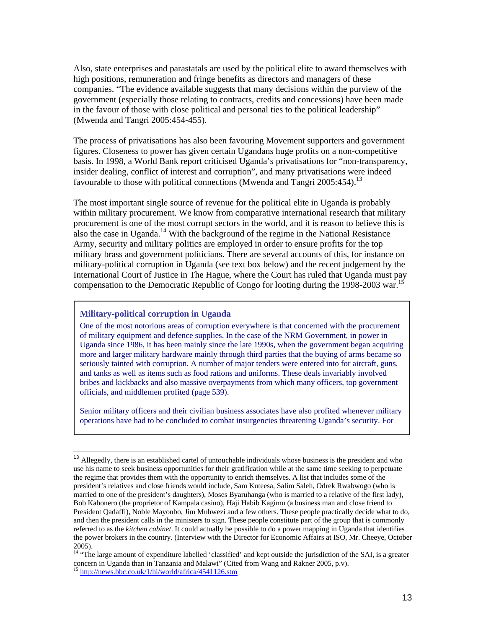Also, state enterprises and parastatals are used by the political elite to award themselves with high positions, remuneration and fringe benefits as directors and managers of these companies. "The evidence available suggests that many decisions within the purview of the government (especially those relating to contracts, credits and concessions) have been made in the favour of those with close political and personal ties to the political leadership" (Mwenda and Tangri 2005:454-455).

The process of privatisations has also been favouring Movement supporters and government figures. Closeness to power has given certain Ugandans huge profits on a non-competitive basis. In 1998, a World Bank report criticised Uganda's privatisations for "non-transparency, insider dealing, conflict of interest and corruption", and many privatisations were indeed favourable to those with political connections (Mwenda and Tangri 2005:454).<sup>13</sup>

The most important single source of revenue for the political elite in Uganda is probably within military procurement. We know from comparative international research that military procurement is one of the most corrupt sectors in the world, and it is reason to believe this is also the case in Uganda.<sup>14</sup> With the background of the regime in the National Resistance Army, security and military politics are employed in order to ensure profits for the top military brass and government politicians. There are several accounts of this, for instance on military-political corruption in Uganda (see text box below) and the recent judgement by the International Court of Justice in The Hague, where the Court has ruled that Uganda must pay compensation to the Democratic Republic of Congo for looting during the 1998-2003 war.<sup>15</sup>

#### **Military-political corruption in Uganda**

 $\overline{a}$ 

One of the most notorious areas of corruption everywhere is that concerned with the procurement of military equipment and defence supplies. In the case of the NRM Government, in power in Uganda since 1986, it has been mainly since the late 1990s, when the government began acquiring more and larger military hardware mainly through third parties that the buying of arms became so seriously tainted with corruption. A number of major tenders were entered into for aircraft, guns, and tanks as well as items such as food rations and uniforms. These deals invariably involved bribes and kickbacks and also massive overpayments from which many officers, top government officials, and middlemen profited (page 539).

Senior military officers and their civilian business associates have also profited whenever military operations have had to be concluded to combat insurgencies threatening Uganda's security. For

Allegedly, there is an established cartel of untouchable individuals whose business is the president and who use his name to seek business opportunities for their gratification while at the same time seeking to perpetuate the regime that provides them with the opportunity to enrich themselves. A list that includes some of the president's relatives and close friends would include, Sam Kuteesa, Salim Saleh, Odrek Rwabwogo (who is married to one of the president's daughters), Moses Byaruhanga (who is married to a relative of the first lady), Bob Kabonero (the proprietor of Kampala casino), Haji Habib Kagimu (a business man and close friend to President Qadaffi), Noble Mayonbo, Jim Muhwezi and a few others. These people practically decide what to do, and then the president calls in the ministers to sign. These people constitute part of the group that is commonly referred to as the *kitchen cabinet*. It could actually be possible to do a power mapping in Uganda that identifies the power brokers in the country. (Interview with the Director for Economic Affairs at ISO, Mr. Cheeye, October 2005).

<sup>&</sup>lt;sup>14</sup> "The large amount of expenditure labelled 'classified' and kept outside the jurisdiction of the SAI, is a greater concern in Uganda than in Tanzania and Malawi" (Cited from Wang and Rakner 2005, p.v). <sup>15</sup> http://news.bbc.co.uk/1/hi/world/africa/4541126.stm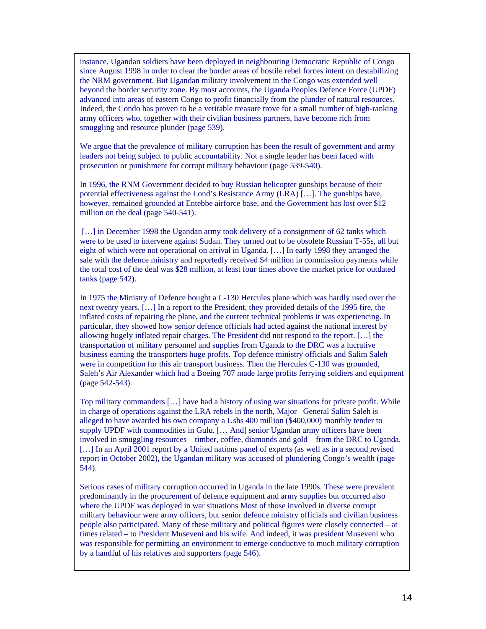instance, Ugandan soldiers have been deployed in neighbouring Democratic Republic of Congo since August 1998 in order to clear the border areas of hostile rebel forces intent on destabilizing the NRM government. But Ugandan military involvement in the Congo was extended well beyond the border security zone. By most accounts, the Uganda Peoples Defence Force (UPDF) advanced into areas of eastern Congo to profit financially from the plunder of natural resources. Indeed, the Condo has proven to be a veritable treasure trove for a small number of high-ranking army officers who, together with their civilian business partners, have become rich from smuggling and resource plunder (page 539).

We argue that the prevalence of military corruption has been the result of government and army leaders not being subject to public accountability. Not a single leader has been faced with prosecution or punishment for corrupt military behaviour (page 539-540).

In 1996, the RNM Government decided to buy Russian helicopter gunships because of their potential effectiveness against the Lond's Resistance Army (LRA) […]. The gunships have, however, remained grounded at Entebbe airforce base, and the Government has lost over \$12 million on the deal (page 540-541).

[...] in December 1998 the Ugandan army took delivery of a consignment of 62 tanks which were to be used to intervene against Sudan. They turned out to be obsolete Russian T-55s, all but eight of which were not operational on arrival in Uganda. […] In early 1998 they arranged the sale with the defence ministry and reportedly received \$4 million in commission payments while the total cost of the deal was \$28 million, at least four times above the market price for outdated tanks (page 542).

In 1975 the Ministry of Defence bought a C-130 Hercules plane which was hardly used over the next twenty years. […] In a report to the President, they provided details of the 1995 fire, the inflated costs of repairing the plane, and the current technical problems it was experiencing. In particular, they showed how senior defence officials had acted against the national interest by allowing hugely inflated repair charges. The President did not respond to the report. […] the transportation of military personnel and supplies from Uganda to the DRC was a lucrative business earning the transporters huge profits. Top defence ministry officials and Salim Saleh were in competition for this air transport business. Then the Hercules C-130 was grounded, Saleh's Air Alexander which had a Boeing 707 made large profits ferrying soldiers and equipment (page 542-543).

Top military commanders […] have had a history of using war situations for private profit. While in charge of operations against the LRA rebels in the north, Major –General Salim Saleh is alleged to have awarded his own company a Ushs 400 million (\$400,000) monthly tender to supply UPDF with commodities in Gulu. [… And] senior Ugandan army officers have been involved in smuggling resources – timber, coffee, diamonds and gold – from the DRC to Uganda. [...] In an April 2001 report by a United nations panel of experts (as well as in a second revised report in October 2002), the Ugandan military was accused of plundering Congo's wealth (page 544).

Serious cases of military corruption occurred in Uganda in the late 1990s. These were prevalent predominantly in the procurement of defence equipment and army supplies but occurred also where the UPDF was deployed in war situations Most of those involved in diverse corrupt military behaviour were army officers, but senior defence ministry officials and civilian business people also participated. Many of these military and political figures were closely connected – at times related – to President Museveni and his wife. And indeed, it was president Museveni who was responsible for permitting an environment to emerge conductive to much military corruption by a handful of his relatives and supporters (page 546).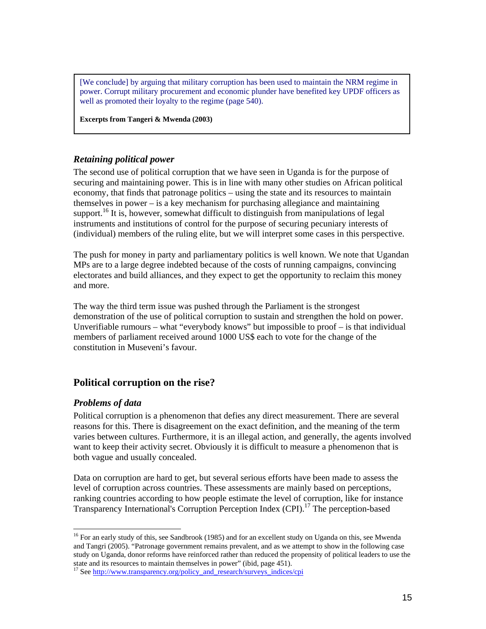[We conclude] by arguing that military corruption has been used to maintain the NRM regime in power. Corrupt military procurement and economic plunder have benefited key UPDF officers as well as promoted their loyalty to the regime (page 540).

**Excerpts from Tangeri & Mwenda (2003)**

#### *Retaining political power*

The second use of political corruption that we have seen in Uganda is for the purpose of securing and maintaining power. This is in line with many other studies on African political economy, that finds that patronage politics – using the state and its resources to maintain themselves in power – is a key mechanism for purchasing allegiance and maintaining support.<sup>16</sup> It is, however, somewhat difficult to distinguish from manipulations of legal instruments and institutions of control for the purpose of securing pecuniary interests of (individual) members of the ruling elite, but we will interpret some cases in this perspective.

The push for money in party and parliamentary politics is well known. We note that Ugandan MPs are to a large degree indebted because of the costs of running campaigns, convincing electorates and build alliances, and they expect to get the opportunity to reclaim this money and more.

The way the third term issue was pushed through the Parliament is the strongest demonstration of the use of political corruption to sustain and strengthen the hold on power. Unverifiable rumours – what "everybody knows" but impossible to proof – is that individual members of parliament received around 1000 US\$ each to vote for the change of the constitution in Museveni's favour.

#### **Political corruption on the rise?**

#### *Problems of data*

 $\overline{a}$ 

Political corruption is a phenomenon that defies any direct measurement. There are several reasons for this. There is disagreement on the exact definition, and the meaning of the term varies between cultures. Furthermore, it is an illegal action, and generally, the agents involved want to keep their activity secret. Obviously it is difficult to measure a phenomenon that is both vague and usually concealed.

Data on corruption are hard to get, but several serious efforts have been made to assess the level of corruption across countries. These assessments are mainly based on perceptions, ranking countries according to how people estimate the level of corruption, like for instance Transparency International's Corruption Perception Index (CPI).17 The perception-based

<sup>&</sup>lt;sup>16</sup> For an early study of this, see Sandbrook (1985) and for an excellent study on Uganda on this, see Mwenda and Tangri (2005). "Patronage government remains prevalent, and as we attempt to show in the following case study on Uganda, donor reforms have reinforced rather than reduced the propensity of political leaders to use the state and its resources to maintain themselves in power" (ibid, page 451).

<sup>&</sup>lt;sup>17</sup> See http://www.transparency.org/policy\_and\_research/surveys\_indices/cpi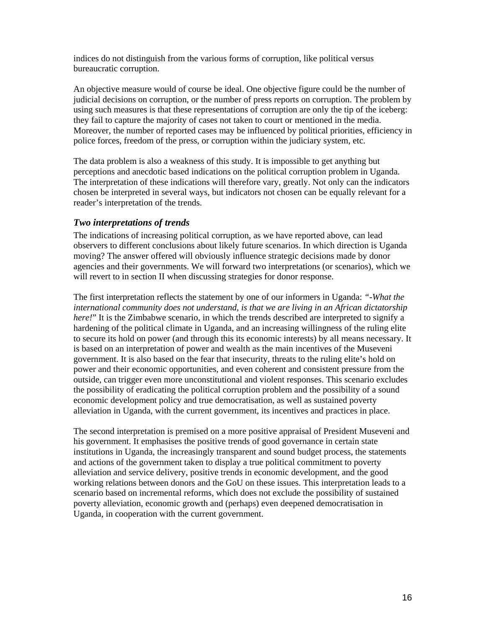indices do not distinguish from the various forms of corruption, like political versus bureaucratic corruption.

An objective measure would of course be ideal. One objective figure could be the number of judicial decisions on corruption, or the number of press reports on corruption. The problem by using such measures is that these representations of corruption are only the tip of the iceberg: they fail to capture the majority of cases not taken to court or mentioned in the media. Moreover, the number of reported cases may be influenced by political priorities, efficiency in police forces, freedom of the press, or corruption within the judiciary system, etc.

The data problem is also a weakness of this study. It is impossible to get anything but perceptions and anecdotic based indications on the political corruption problem in Uganda. The interpretation of these indications will therefore vary, greatly. Not only can the indicators chosen be interpreted in several ways, but indicators not chosen can be equally relevant for a reader's interpretation of the trends.

#### *Two interpretations of trends*

The indications of increasing political corruption, as we have reported above, can lead observers to different conclusions about likely future scenarios. In which direction is Uganda moving? The answer offered will obviously influence strategic decisions made by donor agencies and their governments. We will forward two interpretations (or scenarios), which we will revert to in section II when discussing strategies for donor response.

The first interpretation reflects the statement by one of our informers in Uganda: *"-What the international community does not understand, is that we are living in an African dictatorship here!*" It is the Zimbabwe scenario, in which the trends described are interpreted to signify a hardening of the political climate in Uganda, and an increasing willingness of the ruling elite to secure its hold on power (and through this its economic interests) by all means necessary. It is based on an interpretation of power and wealth as the main incentives of the Museveni government. It is also based on the fear that insecurity, threats to the ruling elite's hold on power and their economic opportunities, and even coherent and consistent pressure from the outside, can trigger even more unconstitutional and violent responses. This scenario excludes the possibility of eradicating the political corruption problem and the possibility of a sound economic development policy and true democratisation, as well as sustained poverty alleviation in Uganda, with the current government, its incentives and practices in place.

The second interpretation is premised on a more positive appraisal of President Museveni and his government. It emphasises the positive trends of good governance in certain state institutions in Uganda, the increasingly transparent and sound budget process, the statements and actions of the government taken to display a true political commitment to poverty alleviation and service delivery, positive trends in economic development, and the good working relations between donors and the GoU on these issues. This interpretation leads to a scenario based on incremental reforms, which does not exclude the possibility of sustained poverty alleviation, economic growth and (perhaps) even deepened democratisation in Uganda, in cooperation with the current government.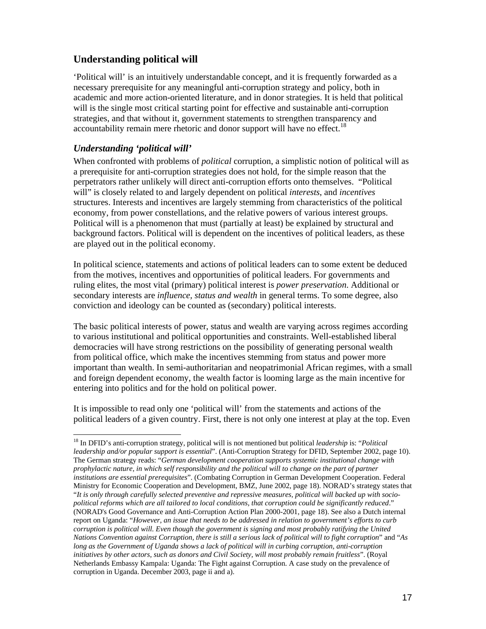#### **Understanding political will**

'Political will' is an intuitively understandable concept, and it is frequently forwarded as a necessary prerequisite for any meaningful anti-corruption strategy and policy, both in academic and more action-oriented literature, and in donor strategies. It is held that political will is the single most critical starting point for effective and sustainable anti-corruption strategies, and that without it, government statements to strengthen transparency and  $\alpha$  accountability remain mere rhetoric and donor support will have no effect.<sup>18</sup>

#### *Understanding 'political will'*

 $\overline{a}$ 

When confronted with problems of *political* corruption, a simplistic notion of political will as a prerequisite for anti-corruption strategies does not hold, for the simple reason that the perpetrators rather unlikely will direct anti-corruption efforts onto themselves. "Political will" is closely related to and largely dependent on political *interests*, and *incentives* structures. Interests and incentives are largely stemming from characteristics of the political economy, from power constellations, and the relative powers of various interest groups. Political will is a phenomenon that must (partially at least) be explained by structural and background factors. Political will is dependent on the incentives of political leaders, as these are played out in the political economy.

In political science, statements and actions of political leaders can to some extent be deduced from the motives, incentives and opportunities of political leaders. For governments and ruling elites, the most vital (primary) political interest is *power preservation*. Additional or secondary interests are *influence, status and wealth* in general terms. To some degree, also conviction and ideology can be counted as (secondary) political interests.

The basic political interests of power, status and wealth are varying across regimes according to various institutional and political opportunities and constraints. Well-established liberal democracies will have strong restrictions on the possibility of generating personal wealth from political office, which make the incentives stemming from status and power more important than wealth. In semi-authoritarian and neopatrimonial African regimes, with a small and foreign dependent economy, the wealth factor is looming large as the main incentive for entering into politics and for the hold on political power.

It is impossible to read only one 'political will' from the statements and actions of the political leaders of a given country. First, there is not only one interest at play at the top. Even

<sup>18</sup> In DFID's anti-corruption strategy, political will is not mentioned but political *leadership* is: "*Political leadership and/or popular support is essential*". (Anti-Corruption Strategy for DFID, September 2002, page 10). The German strategy reads: "*German development cooperation supports systemic institutional change with prophylactic nature, in which self responsibility and the political will to change on the part of partner institutions are essential prerequisites*". (Combating Corruption in German Development Cooperation. Federal Ministry for Economic Cooperation and Development, BMZ, June 2002, page 18). NORAD's strategy states that "*It is only through carefully selected preventive and repressive measures, political will backed up with sociopolitical reforms which are all tailored to local conditions, that corruption could be significantly reduced*." (NORAD's Good Governance and Anti-Corruption Action Plan 2000-2001, page 18). See also a Dutch internal report on Uganda: "*However, an issue that needs to be addressed in relation to government's efforts to curb corruption is political will. Even though the government is signing and most probably ratifying the United Nations Convention against Corruption, there is still a serious lack of political will to fight corruption*" and "*As long as the Government of Uganda shows a lack of political will in curbing corruption, anti-corruption initiatives by other actors, such as donors and Civil Society, will most probably remain fruitless*". (Royal Netherlands Embassy Kampala: Uganda: The Fight against Corruption. A case study on the prevalence of corruption in Uganda. December 2003, page ii and a).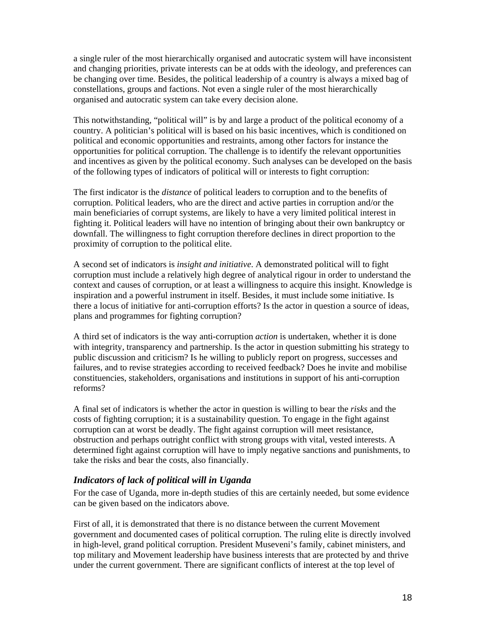a single ruler of the most hierarchically organised and autocratic system will have inconsistent and changing priorities, private interests can be at odds with the ideology, and preferences can be changing over time. Besides, the political leadership of a country is always a mixed bag of constellations, groups and factions. Not even a single ruler of the most hierarchically organised and autocratic system can take every decision alone.

This notwithstanding, "political will" is by and large a product of the political economy of a country. A politician's political will is based on his basic incentives, which is conditioned on political and economic opportunities and restraints, among other factors for instance the opportunities for political corruption. The challenge is to identify the relevant opportunities and incentives as given by the political economy. Such analyses can be developed on the basis of the following types of indicators of political will or interests to fight corruption:

The first indicator is the *distance* of political leaders to corruption and to the benefits of corruption. Political leaders, who are the direct and active parties in corruption and/or the main beneficiaries of corrupt systems, are likely to have a very limited political interest in fighting it. Political leaders will have no intention of bringing about their own bankruptcy or downfall. The willingness to fight corruption therefore declines in direct proportion to the proximity of corruption to the political elite.

A second set of indicators is *insight and initiative*. A demonstrated political will to fight corruption must include a relatively high degree of analytical rigour in order to understand the context and causes of corruption, or at least a willingness to acquire this insight. Knowledge is inspiration and a powerful instrument in itself. Besides, it must include some initiative. Is there a locus of initiative for anti-corruption efforts? Is the actor in question a source of ideas, plans and programmes for fighting corruption?

A third set of indicators is the way anti-corruption *action* is undertaken, whether it is done with integrity, transparency and partnership. Is the actor in question submitting his strategy to public discussion and criticism? Is he willing to publicly report on progress, successes and failures, and to revise strategies according to received feedback? Does he invite and mobilise constituencies, stakeholders, organisations and institutions in support of his anti-corruption reforms?

A final set of indicators is whether the actor in question is willing to bear the *risks* and the costs of fighting corruption; it is a sustainability question. To engage in the fight against corruption can at worst be deadly. The fight against corruption will meet resistance, obstruction and perhaps outright conflict with strong groups with vital, vested interests. A determined fight against corruption will have to imply negative sanctions and punishments, to take the risks and bear the costs, also financially.

#### *Indicators of lack of political will in Uganda*

For the case of Uganda, more in-depth studies of this are certainly needed, but some evidence can be given based on the indicators above.

First of all, it is demonstrated that there is no distance between the current Movement government and documented cases of political corruption. The ruling elite is directly involved in high-level, grand political corruption. President Museveni's family, cabinet ministers, and top military and Movement leadership have business interests that are protected by and thrive under the current government. There are significant conflicts of interest at the top level of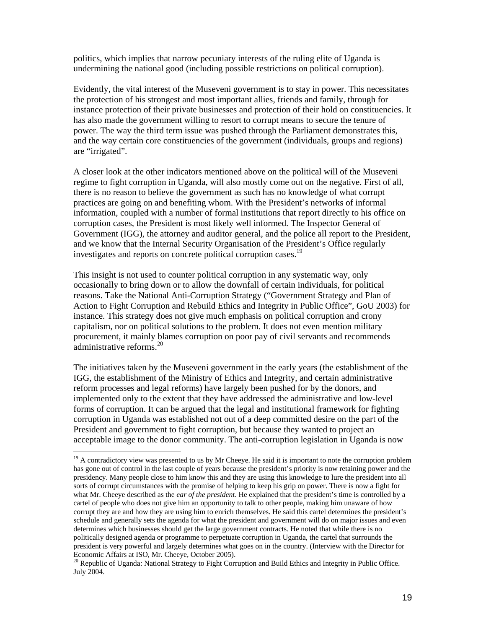politics, which implies that narrow pecuniary interests of the ruling elite of Uganda is undermining the national good (including possible restrictions on political corruption).

Evidently, the vital interest of the Museveni government is to stay in power. This necessitates the protection of his strongest and most important allies, friends and family, through for instance protection of their private businesses and protection of their hold on constituencies. It has also made the government willing to resort to corrupt means to secure the tenure of power. The way the third term issue was pushed through the Parliament demonstrates this, and the way certain core constituencies of the government (individuals, groups and regions) are "irrigated".

A closer look at the other indicators mentioned above on the political will of the Museveni regime to fight corruption in Uganda, will also mostly come out on the negative. First of all, there is no reason to believe the government as such has no knowledge of what corrupt practices are going on and benefiting whom. With the President's networks of informal information, coupled with a number of formal institutions that report directly to his office on corruption cases, the President is most likely well informed. The Inspector General of Government (IGG), the attorney and auditor general, and the police all report to the President, and we know that the Internal Security Organisation of the President's Office regularly investigates and reports on concrete political corruption cases.<sup>19</sup>

This insight is not used to counter political corruption in any systematic way, only occasionally to bring down or to allow the downfall of certain individuals, for political reasons. Take the National Anti-Corruption Strategy ("Government Strategy and Plan of Action to Fight Corruption and Rebuild Ethics and Integrity in Public Office", GoU 2003) for instance. This strategy does not give much emphasis on political corruption and crony capitalism, nor on political solutions to the problem. It does not even mention military procurement, it mainly blames corruption on poor pay of civil servants and recommends administrative reforms  $^{20}$ 

The initiatives taken by the Museveni government in the early years (the establishment of the IGG, the establishment of the Ministry of Ethics and Integrity, and certain administrative reform processes and legal reforms) have largely been pushed for by the donors, and implemented only to the extent that they have addressed the administrative and low-level forms of corruption. It can be argued that the legal and institutional framework for fighting corruption in Uganda was established not out of a deep committed desire on the part of the President and government to fight corruption, but because they wanted to project an acceptable image to the donor community. The anti-corruption legislation in Uganda is now

 $19$  A contradictory view was presented to us by Mr Cheeye. He said it is important to note the corruption problem has gone out of control in the last couple of years because the president's priority is now retaining power and the presidency. Many people close to him know this and they are using this knowledge to lure the president into all sorts of corrupt circumstances with the promise of helping to keep his grip on power. There is now a fight for what Mr. Cheeye described as the *ear of the president*. He explained that the president's time is controlled by a cartel of people who does not give him an opportunity to talk to other people, making him unaware of how corrupt they are and how they are using him to enrich themselves. He said this cartel determines the president's schedule and generally sets the agenda for what the president and government will do on major issues and even determines which businesses should get the large government contracts. He noted that while there is no politically designed agenda or programme to perpetuate corruption in Uganda, the cartel that surrounds the president is very powerful and largely determines what goes on in the country. (Interview with the Director for Economic Affairs at ISO, Mr. Cheeye, October 2005).

<sup>&</sup>lt;sup>20</sup> Republic of Uganda: National Strategy to Fight Corruption and Build Ethics and Integrity in Public Office. July 2004.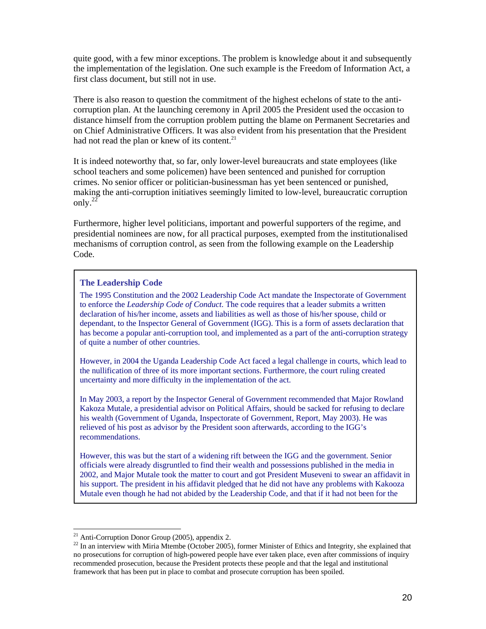quite good, with a few minor exceptions. The problem is knowledge about it and subsequently the implementation of the legislation. One such example is the Freedom of Information Act, a first class document, but still not in use.

There is also reason to question the commitment of the highest echelons of state to the anticorruption plan. At the launching ceremony in April 2005 the President used the occasion to distance himself from the corruption problem putting the blame on Permanent Secretaries and on Chief Administrative Officers. It was also evident from his presentation that the President had not read the plan or knew of its content. $^{21}$ 

It is indeed noteworthy that, so far, only lower-level bureaucrats and state employees (like school teachers and some policemen) have been sentenced and punished for corruption crimes. No senior officer or politician-businessman has yet been sentenced or punished, making the anti-corruption initiatives seemingly limited to low-level, bureaucratic corruption only.22

Furthermore, higher level politicians, important and powerful supporters of the regime, and presidential nominees are now, for all practical purposes, exempted from the institutionalised mechanisms of corruption control, as seen from the following example on the Leadership Code.

#### **The Leadership Code**

The 1995 Constitution and the 2002 Leadership Code Act mandate the Inspectorate of Government to enforce the *Leadership Code of Conduct*. The code requires that a leader submits a written declaration of his/her income, assets and liabilities as well as those of his/her spouse, child or dependant, to the Inspector General of Government (IGG). This is a form of assets declaration that has become a popular anti-corruption tool, and implemented as a part of the anti-corruption strategy of quite a number of other countries.

However, in 2004 the Uganda Leadership Code Act faced a legal challenge in courts, which lead to the nullification of three of its more important sections. Furthermore, the court ruling created uncertainty and more difficulty in the implementation of the act.

In May 2003, a report by the Inspector General of Government recommended that Major Rowland Kakoza Mutale, a presidential advisor on Political Affairs, should be sacked for refusing to declare his wealth (Government of Uganda, Inspectorate of Government, Report, May 2003). He was relieved of his post as advisor by the President soon afterwards, according to the IGG's recommendations.

However, this was but the start of a widening rift between the IGG and the government. Senior officials were already disgruntled to find their wealth and possessions published in the media in 2002, and Major Mutale took the matter to court and got President Museveni to swear an affidavit in his support. The president in his affidavit pledged that he did not have any problems with Kakooza Mutale even though he had not abided by the Leadership Code, and that if it had not been for the

 $21$  Anti-Corruption Donor Group (2005), appendix 2.

<sup>&</sup>lt;sup>22</sup> In an interview with Miria Mtembe (October 2005), former Minister of Ethics and Integrity, she explained that no prosecutions for corruption of high-powered people have ever taken place, even after commissions of inquiry recommended prosecution, because the President protects these people and that the legal and institutional framework that has been put in place to combat and prosecute corruption has been spoiled.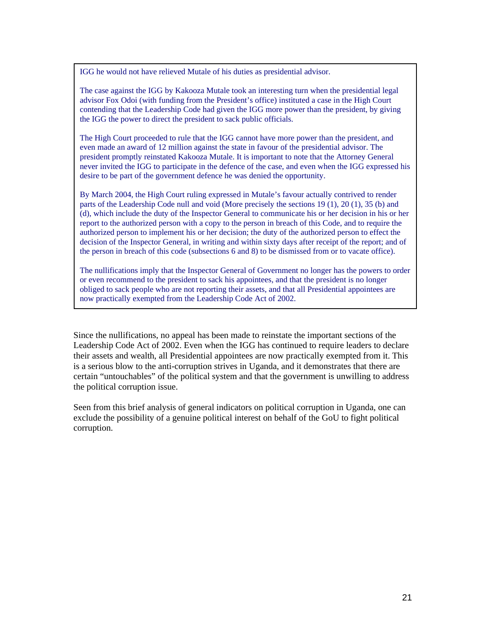IGG he would not have relieved Mutale of his duties as presidential advisor.

The case against the IGG by Kakooza Mutale took an interesting turn when the presidential legal advisor Fox Odoi (with funding from the President's office) instituted a case in the High Court contending that the Leadership Code had given the IGG more power than the president, by giving the IGG the power to direct the president to sack public officials.

The High Court proceeded to rule that the IGG cannot have more power than the president, and even made an award of 12 million against the state in favour of the presidential advisor. The president promptly reinstated Kakooza Mutale. It is important to note that the Attorney General never invited the IGG to participate in the defence of the case, and even when the IGG expressed his desire to be part of the government defence he was denied the opportunity.

By March 2004, the High Court ruling expressed in Mutale's favour actually contrived to render parts of the Leadership Code null and void (More precisely the sections 19 (1), 20 (1), 35 (b) and (d), which include the duty of the Inspector General to communicate his or her decision in his or her report to the authorized person with a copy to the person in breach of this Code, and to require the authorized person to implement his or her decision; the duty of the authorized person to effect the decision of the Inspector General, in writing and within sixty days after receipt of the report; and of the person in breach of this code (subsections 6 and 8) to be dismissed from or to vacate office).

The nullifications imply that the Inspector General of Government no longer has the powers to order or even recommend to the president to sack his appointees, and that the president is no longer obliged to sack people who are not reporting their assets, and that all Presidential appointees are now practically exempted from the Leadership Code Act of 2002.

Since the nullifications, no appeal has been made to reinstate the important sections of the Leadership Code Act of 2002. Even when the IGG has continued to require leaders to declare their assets and wealth, all Presidential appointees are now practically exempted from it. This is a serious blow to the anti-corruption strives in Uganda, and it demonstrates that there are certain "untouchables" of the political system and that the government is unwilling to address the political corruption issue.

Seen from this brief analysis of general indicators on political corruption in Uganda, one can exclude the possibility of a genuine political interest on behalf of the GoU to fight political corruption.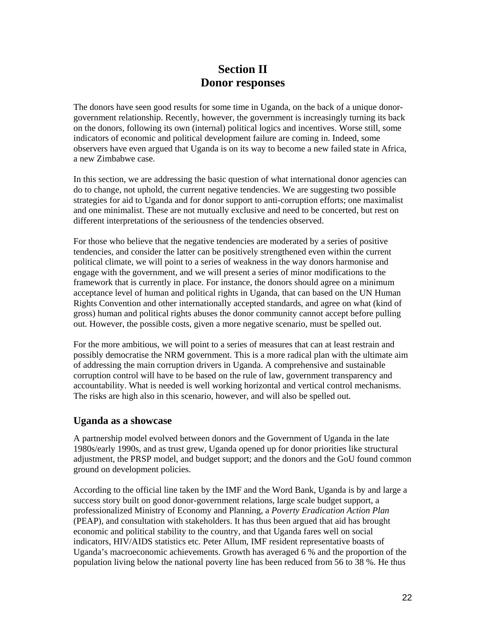# **Section II Donor responses**

The donors have seen good results for some time in Uganda, on the back of a unique donorgovernment relationship. Recently, however, the government is increasingly turning its back on the donors, following its own (internal) political logics and incentives. Worse still, some indicators of economic and political development failure are coming in. Indeed, some observers have even argued that Uganda is on its way to become a new failed state in Africa, a new Zimbabwe case.

In this section, we are addressing the basic question of what international donor agencies can do to change, not uphold, the current negative tendencies. We are suggesting two possible strategies for aid to Uganda and for donor support to anti-corruption efforts; one maximalist and one minimalist. These are not mutually exclusive and need to be concerted, but rest on different interpretations of the seriousness of the tendencies observed.

For those who believe that the negative tendencies are moderated by a series of positive tendencies, and consider the latter can be positively strengthened even within the current political climate, we will point to a series of weakness in the way donors harmonise and engage with the government, and we will present a series of minor modifications to the framework that is currently in place. For instance, the donors should agree on a minimum acceptance level of human and political rights in Uganda, that can based on the UN Human Rights Convention and other internationally accepted standards, and agree on what (kind of gross) human and political rights abuses the donor community cannot accept before pulling out. However, the possible costs, given a more negative scenario, must be spelled out.

For the more ambitious, we will point to a series of measures that can at least restrain and possibly democratise the NRM government. This is a more radical plan with the ultimate aim of addressing the main corruption drivers in Uganda. A comprehensive and sustainable corruption control will have to be based on the rule of law, government transparency and accountability. What is needed is well working horizontal and vertical control mechanisms. The risks are high also in this scenario, however, and will also be spelled out.

#### **Uganda as a showcase**

A partnership model evolved between donors and the Government of Uganda in the late 1980s/early 1990s, and as trust grew, Uganda opened up for donor priorities like structural adjustment, the PRSP model, and budget support; and the donors and the GoU found common ground on development policies.

According to the official line taken by the IMF and the Word Bank, Uganda is by and large a success story built on good donor-government relations, large scale budget support, a professionalized Ministry of Economy and Planning, a *Poverty Eradication Action Plan* (PEAP), and consultation with stakeholders. It has thus been argued that aid has brought economic and political stability to the country, and that Uganda fares well on social indicators, HIV/AIDS statistics etc. Peter Allum, IMF resident representative boasts of Uganda's macroeconomic achievements. Growth has averaged 6 % and the proportion of the population living below the national poverty line has been reduced from 56 to 38 %. He thus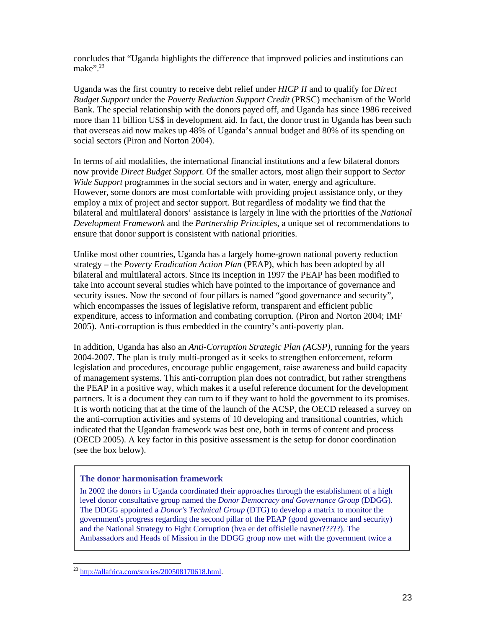concludes that "Uganda highlights the difference that improved policies and institutions can make".<sup>23</sup>

Uganda was the first country to receive debt relief under *HICP II* and to qualify for *Direct Budget Support* under the *Poverty Reduction Support Credit* (PRSC) mechanism of the World Bank. The special relationship with the donors payed off, and Uganda has since 1986 received more than 11 billion US\$ in development aid. In fact, the donor trust in Uganda has been such that overseas aid now makes up 48% of Uganda's annual budget and 80% of its spending on social sectors (Piron and Norton 2004).

In terms of aid modalities, the international financial institutions and a few bilateral donors now provide *Direct Budget Support*. Of the smaller actors, most align their support to *Sector Wide Support* programmes in the social sectors and in water, energy and agriculture. However, some donors are most comfortable with providing project assistance only, or they employ a mix of project and sector support. But regardless of modality we find that the bilateral and multilateral donors' assistance is largely in line with the priorities of the *National Development Framework* and the *Partnership Principles*, a unique set of recommendations to ensure that donor support is consistent with national priorities.

Unlike most other countries, Uganda has a largely home-grown national poverty reduction strategy – the *Poverty Eradication Action Plan* (PEAP), which has been adopted by all bilateral and multilateral actors. Since its inception in 1997 the PEAP has been modified to take into account several studies which have pointed to the importance of governance and security issues. Now the second of four pillars is named "good governance and security", which encompasses the issues of legislative reform, transparent and efficient public expenditure, access to information and combating corruption. (Piron and Norton 2004; IMF 2005). Anti-corruption is thus embedded in the country's anti-poverty plan.

In addition, Uganda has also an *Anti-Corruption Strategic Plan (ACSP)*, running for the years 2004-2007. The plan is truly multi-pronged as it seeks to strengthen enforcement, reform legislation and procedures, encourage public engagement, raise awareness and build capacity of management systems. This anti-corruption plan does not contradict, but rather strengthens the PEAP in a positive way, which makes it a useful reference document for the development partners. It is a document they can turn to if they want to hold the government to its promises. It is worth noticing that at the time of the launch of the ACSP, the OECD released a survey on the anti-corruption activities and systems of 10 developing and transitional countries, which indicated that the Ugandan framework was best one, both in terms of content and process (OECD 2005). A key factor in this positive assessment is the setup for donor coordination (see the box below).

#### **The donor harmonisation framework**

In 2002 the donors in Uganda coordinated their approaches through the establishment of a high level donor consultative group named the *Donor Democracy and Governance Group* (DDGG). The DDGG appointed a *Donor's Technical Group* (DTG) to develop a matrix to monitor the government's progress regarding the second pillar of the PEAP (good governance and security) and the National Strategy to Fight Corruption (hva er det offisielle navnet?????). The Ambassadors and Heads of Mission in the DDGG group now met with the government twice a

<sup>&</sup>lt;sup>23</sup> http://allafrica.com/stories/200508170618.html.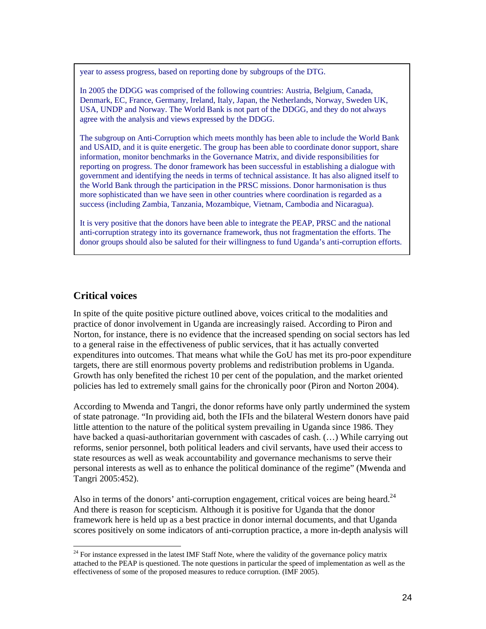year to assess progress, based on reporting done by subgroups of the DTG.

In 2005 the DDGG was comprised of the following countries: Austria, Belgium, Canada, Denmark, EC, France, Germany, Ireland, Italy, Japan, the Netherlands, Norway, Sweden UK, USA, UNDP and Norway. The World Bank is not part of the DDGG, and they do not always agree with the analysis and views expressed by the DDGG.

The subgroup on Anti-Corruption which meets monthly has been able to include the World Bank and USAID, and it is quite energetic. The group has been able to coordinate donor support, share information, monitor benchmarks in the Governance Matrix, and divide responsibilities for reporting on progress. The donor framework has been successful in establishing a dialogue with government and identifying the needs in terms of technical assistance. It has also aligned itself to the World Bank through the participation in the PRSC missions. Donor harmonisation is thus more sophisticated than we have seen in other countries where coordination is regarded as a success (including Zambia, Tanzania, Mozambique, Vietnam, Cambodia and Nicaragua).

It is very positive that the donors have been able to integrate the PEAP, PRSC and the national anti-corruption strategy into its governance framework, thus not fragmentation the efforts. The donor groups should also be saluted for their willingness to fund Uganda's anti-corruption efforts.

#### **Critical voices**

 $\overline{a}$ 

In spite of the quite positive picture outlined above, voices critical to the modalities and practice of donor involvement in Uganda are increasingly raised. According to Piron and Norton, for instance, there is no evidence that the increased spending on social sectors has led to a general raise in the effectiveness of public services, that it has actually converted expenditures into outcomes. That means what while the GoU has met its pro-poor expenditure targets, there are still enormous poverty problems and redistribution problems in Uganda. Growth has only benefited the richest 10 per cent of the population, and the market oriented policies has led to extremely small gains for the chronically poor (Piron and Norton 2004).

According to Mwenda and Tangri, the donor reforms have only partly undermined the system of state patronage. "In providing aid, both the IFIs and the bilateral Western donors have paid little attention to the nature of the political system prevailing in Uganda since 1986. They have backed a quasi-authoritarian government with cascades of cash.  $(...)$  While carrying out reforms, senior personnel, both political leaders and civil servants, have used their access to state resources as well as weak accountability and governance mechanisms to serve their personal interests as well as to enhance the political dominance of the regime" (Mwenda and Tangri 2005:452).

Also in terms of the donors' anti-corruption engagement, critical voices are being heard.<sup>24</sup> And there is reason for scepticism. Although it is positive for Uganda that the donor framework here is held up as a best practice in donor internal documents, and that Uganda scores positively on some indicators of anti-corruption practice, a more in-depth analysis will

<sup>&</sup>lt;sup>24</sup> For instance expressed in the latest IMF Staff Note, where the validity of the governance policy matrix attached to the PEAP is questioned. The note questions in particular the speed of implementation as well as the effectiveness of some of the proposed measures to reduce corruption. (IMF 2005).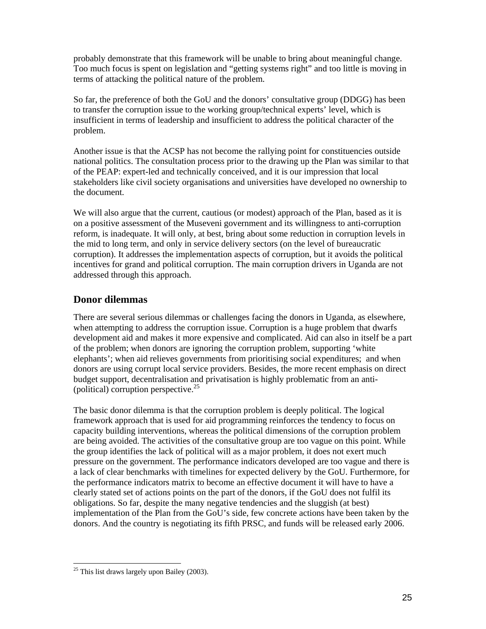probably demonstrate that this framework will be unable to bring about meaningful change. Too much focus is spent on legislation and "getting systems right" and too little is moving in terms of attacking the political nature of the problem.

So far, the preference of both the GoU and the donors' consultative group (DDGG) has been to transfer the corruption issue to the working group/technical experts' level, which is insufficient in terms of leadership and insufficient to address the political character of the problem.

Another issue is that the ACSP has not become the rallying point for constituencies outside national politics. The consultation process prior to the drawing up the Plan was similar to that of the PEAP: expert-led and technically conceived, and it is our impression that local stakeholders like civil society organisations and universities have developed no ownership to the document.

We will also argue that the current, cautious (or modest) approach of the Plan, based as it is on a positive assessment of the Museveni government and its willingness to anti-corruption reform, is inadequate. It will only, at best, bring about some reduction in corruption levels in the mid to long term, and only in service delivery sectors (on the level of bureaucratic corruption). It addresses the implementation aspects of corruption, but it avoids the political incentives for grand and political corruption. The main corruption drivers in Uganda are not addressed through this approach.

#### **Donor dilemmas**

There are several serious dilemmas or challenges facing the donors in Uganda, as elsewhere, when attempting to address the corruption issue. Corruption is a huge problem that dwarfs development aid and makes it more expensive and complicated. Aid can also in itself be a part of the problem; when donors are ignoring the corruption problem, supporting 'white elephants'; when aid relieves governments from prioritising social expenditures; and when donors are using corrupt local service providers. Besides, the more recent emphasis on direct budget support, decentralisation and privatisation is highly problematic from an anti- (political) corruption perspective. $^{25}$ 

The basic donor dilemma is that the corruption problem is deeply political. The logical framework approach that is used for aid programming reinforces the tendency to focus on capacity building interventions, whereas the political dimensions of the corruption problem are being avoided. The activities of the consultative group are too vague on this point. While the group identifies the lack of political will as a major problem, it does not exert much pressure on the government. The performance indicators developed are too vague and there is a lack of clear benchmarks with timelines for expected delivery by the GoU. Furthermore, for the performance indicators matrix to become an effective document it will have to have a clearly stated set of actions points on the part of the donors, if the GoU does not fulfil its obligations. So far, despite the many negative tendencies and the sluggish (at best) implementation of the Plan from the GoU's side, few concrete actions have been taken by the donors. And the country is negotiating its fifth PRSC, and funds will be released early 2006.

 $\overline{a}$  $25$  This list draws largely upon Bailey (2003).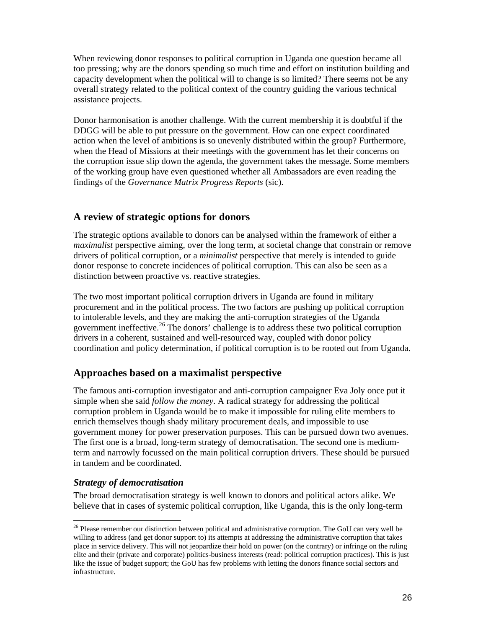When reviewing donor responses to political corruption in Uganda one question became all too pressing; why are the donors spending so much time and effort on institution building and capacity development when the political will to change is so limited? There seems not be any overall strategy related to the political context of the country guiding the various technical assistance projects.

Donor harmonisation is another challenge. With the current membership it is doubtful if the DDGG will be able to put pressure on the government. How can one expect coordinated action when the level of ambitions is so unevenly distributed within the group? Furthermore, when the Head of Missions at their meetings with the government has let their concerns on the corruption issue slip down the agenda, the government takes the message. Some members of the working group have even questioned whether all Ambassadors are even reading the findings of the *Governance Matrix Progress Reports* (sic).

#### **A review of strategic options for donors**

The strategic options available to donors can be analysed within the framework of either a *maximalist* perspective aiming, over the long term, at societal change that constrain or remove drivers of political corruption, or a *minimalist* perspective that merely is intended to guide donor response to concrete incidences of political corruption. This can also be seen as a distinction between proactive vs. reactive strategies.

The two most important political corruption drivers in Uganda are found in military procurement and in the political process. The two factors are pushing up political corruption to intolerable levels, and they are making the anti-corruption strategies of the Uganda government ineffective.26 The donors' challenge is to address these two political corruption drivers in a coherent, sustained and well-resourced way, coupled with donor policy coordination and policy determination, if political corruption is to be rooted out from Uganda.

#### **Approaches based on a maximalist perspective**

The famous anti-corruption investigator and anti-corruption campaigner Eva Joly once put it simple when she said *follow the money*. A radical strategy for addressing the political corruption problem in Uganda would be to make it impossible for ruling elite members to enrich themselves though shady military procurement deals, and impossible to use government money for power preservation purposes. This can be pursued down two avenues. The first one is a broad, long-term strategy of democratisation. The second one is mediumterm and narrowly focussed on the main political corruption drivers. These should be pursued in tandem and be coordinated.

#### *Strategy of democratisation*

 $\overline{a}$ 

The broad democratisation strategy is well known to donors and political actors alike. We believe that in cases of systemic political corruption, like Uganda, this is the only long-term

<sup>&</sup>lt;sup>26</sup> Please remember our distinction between political and administrative corruption. The GoU can very well be willing to address (and get donor support to) its attempts at addressing the administrative corruption that takes place in service delivery. This will not jeopardize their hold on power (on the contrary) or infringe on the ruling elite and their (private and corporate) politics-business interests (read: political corruption practices). This is just like the issue of budget support; the GoU has few problems with letting the donors finance social sectors and infrastructure.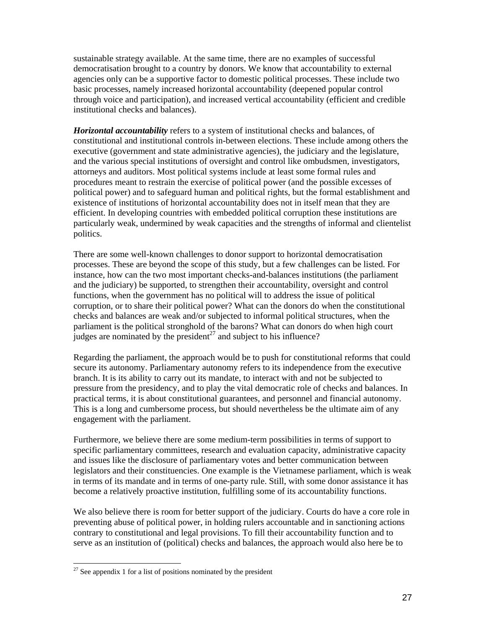sustainable strategy available. At the same time, there are no examples of successful democratisation brought to a country by donors. We know that accountability to external agencies only can be a supportive factor to domestic political processes. These include two basic processes, namely increased horizontal accountability (deepened popular control through voice and participation), and increased vertical accountability (efficient and credible institutional checks and balances).

*Horizontal accountability* refers to a system of institutional checks and balances, of constitutional and institutional controls in-between elections. These include among others the executive (government and state administrative agencies), the judiciary and the legislature, and the various special institutions of oversight and control like ombudsmen, investigators, attorneys and auditors. Most political systems include at least some formal rules and procedures meant to restrain the exercise of political power (and the possible excesses of political power) and to safeguard human and political rights, but the formal establishment and existence of institutions of horizontal accountability does not in itself mean that they are efficient. In developing countries with embedded political corruption these institutions are particularly weak, undermined by weak capacities and the strengths of informal and clientelist politics.

There are some well-known challenges to donor support to horizontal democratisation processes. These are beyond the scope of this study, but a few challenges can be listed. For instance, how can the two most important checks-and-balances institutions (the parliament and the judiciary) be supported, to strengthen their accountability, oversight and control functions, when the government has no political will to address the issue of political corruption, or to share their political power? What can the donors do when the constitutional checks and balances are weak and/or subjected to informal political structures, when the parliament is the political stronghold of the barons? What can donors do when high court judges are nominated by the president<sup>27</sup> and subject to his influence?

Regarding the parliament, the approach would be to push for constitutional reforms that could secure its autonomy. Parliamentary autonomy refers to its independence from the executive branch. It is its ability to carry out its mandate, to interact with and not be subjected to pressure from the presidency, and to play the vital democratic role of checks and balances. In practical terms, it is about constitutional guarantees, and personnel and financial autonomy. This is a long and cumbersome process, but should nevertheless be the ultimate aim of any engagement with the parliament.

Furthermore, we believe there are some medium-term possibilities in terms of support to specific parliamentary committees, research and evaluation capacity, administrative capacity and issues like the disclosure of parliamentary votes and better communication between legislators and their constituencies. One example is the Vietnamese parliament, which is weak in terms of its mandate and in terms of one-party rule. Still, with some donor assistance it has become a relatively proactive institution, fulfilling some of its accountability functions.

We also believe there is room for better support of the judiciary. Courts do have a core role in preventing abuse of political power, in holding rulers accountable and in sanctioning actions contrary to constitutional and legal provisions. To fill their accountability function and to serve as an institution of (political) checks and balances, the approach would also here be to

 $27$  See appendix 1 for a list of positions nominated by the president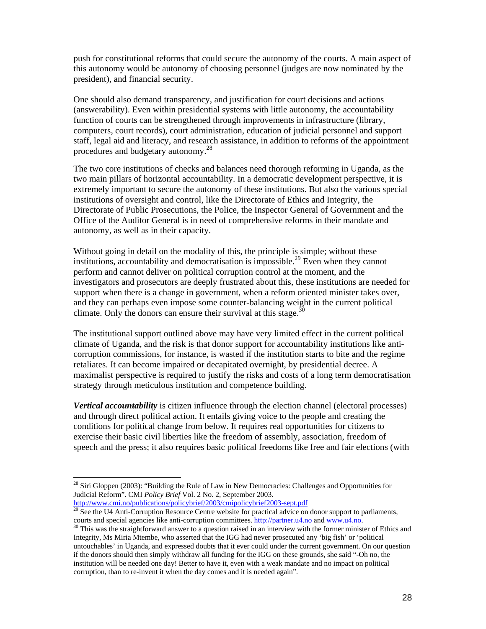push for constitutional reforms that could secure the autonomy of the courts. A main aspect of this autonomy would be autonomy of choosing personnel (judges are now nominated by the president), and financial security.

One should also demand transparency, and justification for court decisions and actions (answerability). Even within presidential systems with little autonomy, the accountability function of courts can be strengthened through improvements in infrastructure (library, computers, court records), court administration, education of judicial personnel and support staff, legal aid and literacy, and research assistance, in addition to reforms of the appointment procedures and budgetary autonomy.28

The two core institutions of checks and balances need thorough reforming in Uganda, as the two main pillars of horizontal accountability. In a democratic development perspective, it is extremely important to secure the autonomy of these institutions. But also the various special institutions of oversight and control, like the Directorate of Ethics and Integrity, the Directorate of Public Prosecutions, the Police, the Inspector General of Government and the Office of the Auditor General is in need of comprehensive reforms in their mandate and autonomy, as well as in their capacity.

Without going in detail on the modality of this, the principle is simple; without these institutions, accountability and democratisation is impossible.<sup>29</sup> Even when they cannot perform and cannot deliver on political corruption control at the moment, and the investigators and prosecutors are deeply frustrated about this, these institutions are needed for support when there is a change in government, when a reform oriented minister takes over, and they can perhaps even impose some counter-balancing weight in the current political climate. Only the donors can ensure their survival at this stage.<sup>30</sup>

The institutional support outlined above may have very limited effect in the current political climate of Uganda, and the risk is that donor support for accountability institutions like anticorruption commissions, for instance, is wasted if the institution starts to bite and the regime retaliates. It can become impaired or decapitated overnight, by presidential decree. A maximalist perspective is required to justify the risks and costs of a long term democratisation strategy through meticulous institution and competence building.

*Vertical accountability* is citizen influence through the election channel (electoral processes) and through direct political action. It entails giving voice to the people and creating the conditions for political change from below. It requires real opportunities for citizens to exercise their basic civil liberties like the freedom of assembly, association, freedom of speech and the press; it also requires basic political freedoms like free and fair elections (with

<sup>&</sup>lt;sup>28</sup> Siri Gloppen (2003): "Building the Rule of Law in New Democracies: Challenges and Opportunities for Judicial Reform". CMI *Policy Brief* Vol. 2 No. 2, September 2003.

 $\frac{1}{29}$  See the U4 Anti-Corruption Resource Centre website for practical advice on donor support to parliaments, courts and special agencies like anti-corruption committees.  $\frac{http://partner.u4.no}{}$  and www.u4.no.  $30$  This was the straightforward answer to a question raised in an interview with the former minister of Ethics and

Integrity, Ms Miria Mtembe, who asserted that the IGG had never prosecuted any 'big fish' or 'political untouchables' in Uganda, and expressed doubts that it ever could under the current government. On our question if the donors should then simply withdraw all funding for the IGG on these grounds, she said "-Oh no, the institution will be needed one day! Better to have it, even with a weak mandate and no impact on political corruption, than to re-invent it when the day comes and it is needed again".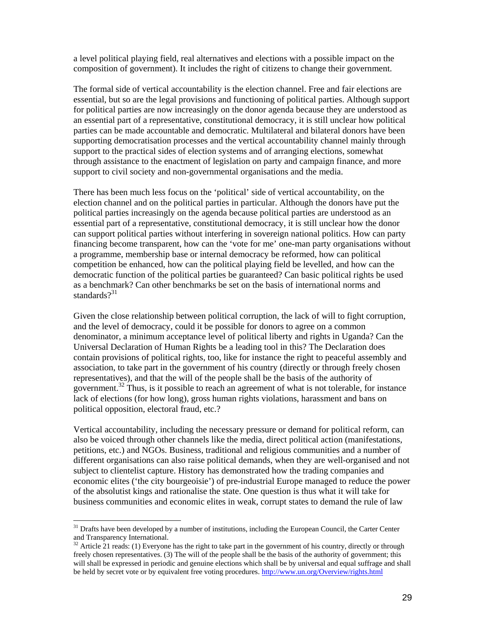a level political playing field, real alternatives and elections with a possible impact on the composition of government). It includes the right of citizens to change their government.

The formal side of vertical accountability is the election channel. Free and fair elections are essential, but so are the legal provisions and functioning of political parties. Although support for political parties are now increasingly on the donor agenda because they are understood as an essential part of a representative, constitutional democracy, it is still unclear how political parties can be made accountable and democratic. Multilateral and bilateral donors have been supporting democratisation processes and the vertical accountability channel mainly through support to the practical sides of election systems and of arranging elections, somewhat through assistance to the enactment of legislation on party and campaign finance, and more support to civil society and non-governmental organisations and the media.

There has been much less focus on the 'political' side of vertical accountability, on the election channel and on the political parties in particular. Although the donors have put the political parties increasingly on the agenda because political parties are understood as an essential part of a representative, constitutional democracy, it is still unclear how the donor can support political parties without interfering in sovereign national politics. How can party financing become transparent, how can the 'vote for me' one-man party organisations without a programme, membership base or internal democracy be reformed, how can political competition be enhanced, how can the political playing field be levelled, and how can the democratic function of the political parties be guaranteed? Can basic political rights be used as a benchmark? Can other benchmarks be set on the basis of international norms and standards $2^{31}$ 

Given the close relationship between political corruption, the lack of will to fight corruption, and the level of democracy, could it be possible for donors to agree on a common denominator, a minimum acceptance level of political liberty and rights in Uganda? Can the Universal Declaration of Human Rights be a leading tool in this? The Declaration does contain provisions of political rights, too, like for instance the right to peaceful assembly and association, to take part in the government of his country (directly or through freely chosen representatives), and that the will of the people shall be the basis of the authority of government.32 Thus, is it possible to reach an agreement of what is not tolerable, for instance lack of elections (for how long), gross human rights violations, harassment and bans on political opposition, electoral fraud, etc.?

Vertical accountability, including the necessary pressure or demand for political reform, can also be voiced through other channels like the media, direct political action (manifestations, petitions, etc.) and NGOs. Business, traditional and religious communities and a number of different organisations can also raise political demands, when they are well-organised and not subject to clientelist capture. History has demonstrated how the trading companies and economic elites ('the city bourgeoisie') of pre-industrial Europe managed to reduce the power of the absolutist kings and rationalise the state. One question is thus what it will take for business communities and economic elites in weak, corrupt states to demand the rule of law

<sup>&</sup>lt;sup>31</sup> Drafts have been developed by a number of institutions, including the European Council, the Carter Center and Transparency International.

 $32$  Article 21 reads: (1) Everyone has the right to take part in the government of his country, directly or through freely chosen representatives. (3) The will of the people shall be the basis of the authority of government; this will shall be expressed in periodic and genuine elections which shall be by universal and equal suffrage and shall be held by secret vote or by equivalent free voting procedures. http://www.un.org/Overview/rights.html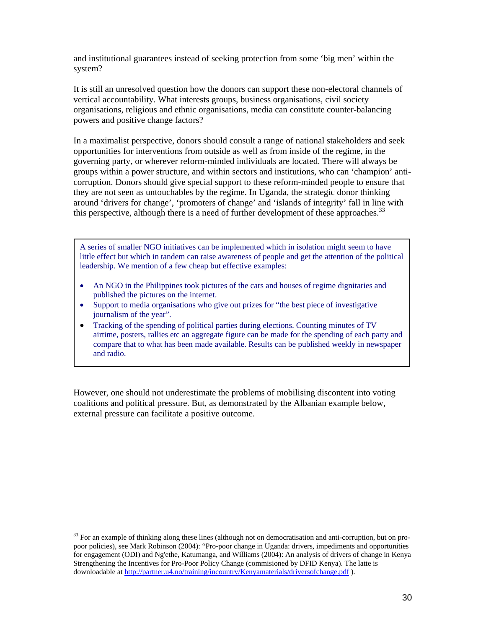and institutional guarantees instead of seeking protection from some 'big men' within the system?

It is still an unresolved question how the donors can support these non-electoral channels of vertical accountability. What interests groups, business organisations, civil society organisations, religious and ethnic organisations, media can constitute counter-balancing powers and positive change factors?

In a maximalist perspective, donors should consult a range of national stakeholders and seek opportunities for interventions from outside as well as from inside of the regime, in the governing party, or wherever reform-minded individuals are located. There will always be groups within a power structure, and within sectors and institutions, who can 'champion' anticorruption. Donors should give special support to these reform-minded people to ensure that they are not seen as untouchables by the regime. In Uganda, the strategic donor thinking around 'drivers for change', 'promoters of change' and 'islands of integrity' fall in line with this perspective, although there is a need of further development of these approaches.<sup>33</sup>

A series of smaller NGO initiatives can be implemented which in isolation might seem to have little effect but which in tandem can raise awareness of people and get the attention of the political leadership. We mention of a few cheap but effective examples:

- An NGO in the Philippines took pictures of the cars and houses of regime dignitaries and published the pictures on the internet.
- Support to media organisations who give out prizes for "the best piece of investigative journalism of the year".
- Tracking of the spending of political parties during elections. Counting minutes of TV airtime, posters, rallies etc an aggregate figure can be made for the spending of each party and compare that to what has been made available. Results can be published weekly in newspaper and radio.

However, one should not underestimate the problems of mobilising discontent into voting coalitions and political pressure. But, as demonstrated by the Albanian example below, external pressure can facilitate a positive outcome.

<sup>&</sup>lt;sup>33</sup> For an example of thinking along these lines (although not on democratisation and anti-corruption, but on propoor policies), see Mark Robinson (2004): "Pro-poor change in Uganda: drivers, impediments and opportunities for engagement (ODI) and Ng'ethe, Katumanga, and Williams (2004): An analysis of drivers of change in Kenya Strengthening the Incentives for Pro-Poor Policy Change (commisioned by DFID Kenya). The latte is downloadable at http://partner.u4.no/training/incountry/Kenyamaterials/driversofchange.pdf ).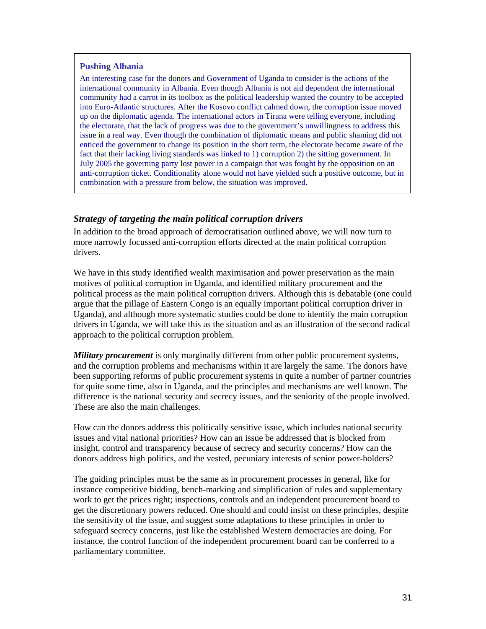#### **Pushing Albania**

An interesting case for the donors and Government of Uganda to consider is the actions of the international community in Albania. Even though Albania is not aid dependent the international community had a carrot in its toolbox as the political leadership wanted the country to be accepted into Euro-Atlantic structures. After the Kosovo conflict calmed down, the corruption issue moved up on the diplomatic agenda. The international actors in Tirana were telling everyone, including the electorate, that the lack of progress was due to the government's unwillingness to address this issue in a real way. Even though the combination of diplomatic means and public shaming did not enticed the government to change its position in the short term, the electorate became aware of the fact that their lacking living standards was linked to 1) corruption 2) the sitting government. In July 2005 the governing party lost power in a campaign that was fought by the opposition on an anti-corruption ticket. Conditionality alone would not have yielded such a positive outcome, but in combination with a pressure from below, the situation was improved.

#### *Strategy of targeting the main political corruption drivers*

In addition to the broad approach of democratisation outlined above, we will now turn to more narrowly focussed anti-corruption efforts directed at the main political corruption drivers.

We have in this study identified wealth maximisation and power preservation as the main motives of political corruption in Uganda, and identified military procurement and the political process as the main political corruption drivers. Although this is debatable (one could argue that the pillage of Eastern Congo is an equally important political corruption driver in Uganda), and although more systematic studies could be done to identify the main corruption drivers in Uganda, we will take this as the situation and as an illustration of the second radical approach to the political corruption problem.

*Military procurement* is only marginally different from other public procurement systems, and the corruption problems and mechanisms within it are largely the same. The donors have been supporting reforms of public procurement systems in quite a number of partner countries for quite some time, also in Uganda, and the principles and mechanisms are well known. The difference is the national security and secrecy issues, and the seniority of the people involved. These are also the main challenges.

How can the donors address this politically sensitive issue, which includes national security issues and vital national priorities? How can an issue be addressed that is blocked from insight, control and transparency because of secrecy and security concerns? How can the donors address high politics, and the vested, pecuniary interests of senior power-holders?

The guiding principles must be the same as in procurement processes in general, like for instance competitive bidding, bench-marking and simplification of rules and supplementary work to get the prices right; inspections, controls and an independent procurement board to get the discretionary powers reduced. One should and could insist on these principles, despite the sensitivity of the issue, and suggest some adaptations to these principles in order to safeguard secrecy concerns, just like the established Western democracies are doing. For instance, the control function of the independent procurement board can be conferred to a parliamentary committee.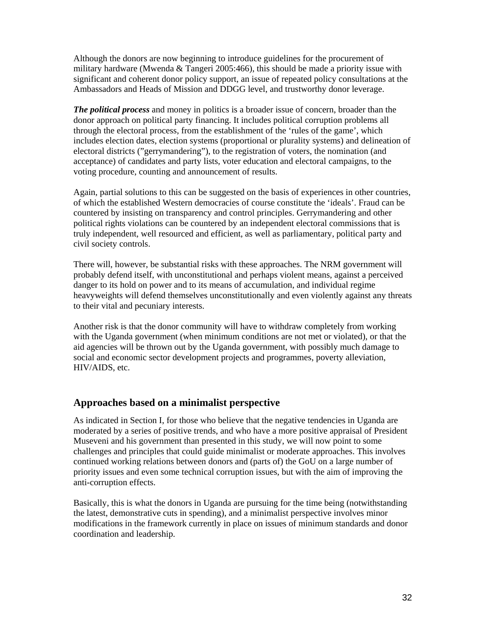Although the donors are now beginning to introduce guidelines for the procurement of military hardware (Mwenda & Tangeri 2005:466), this should be made a priority issue with significant and coherent donor policy support, an issue of repeated policy consultations at the Ambassadors and Heads of Mission and DDGG level, and trustworthy donor leverage.

*The political process* and money in politics is a broader issue of concern, broader than the donor approach on political party financing. It includes political corruption problems all through the electoral process, from the establishment of the 'rules of the game', which includes election dates, election systems (proportional or plurality systems) and delineation of electoral districts ("gerrymandering"), to the registration of voters, the nomination (and acceptance) of candidates and party lists, voter education and electoral campaigns, to the voting procedure, counting and announcement of results.

Again, partial solutions to this can be suggested on the basis of experiences in other countries, of which the established Western democracies of course constitute the 'ideals'. Fraud can be countered by insisting on transparency and control principles. Gerrymandering and other political rights violations can be countered by an independent electoral commissions that is truly independent, well resourced and efficient, as well as parliamentary, political party and civil society controls.

There will, however, be substantial risks with these approaches. The NRM government will probably defend itself, with unconstitutional and perhaps violent means, against a perceived danger to its hold on power and to its means of accumulation, and individual regime heavyweights will defend themselves unconstitutionally and even violently against any threats to their vital and pecuniary interests.

Another risk is that the donor community will have to withdraw completely from working with the Uganda government (when minimum conditions are not met or violated), or that the aid agencies will be thrown out by the Uganda government, with possibly much damage to social and economic sector development projects and programmes, poverty alleviation, HIV/AIDS, etc.

#### **Approaches based on a minimalist perspective**

As indicated in Section I, for those who believe that the negative tendencies in Uganda are moderated by a series of positive trends, and who have a more positive appraisal of President Museveni and his government than presented in this study, we will now point to some challenges and principles that could guide minimalist or moderate approaches. This involves continued working relations between donors and (parts of) the GoU on a large number of priority issues and even some technical corruption issues, but with the aim of improving the anti-corruption effects.

Basically, this is what the donors in Uganda are pursuing for the time being (notwithstanding the latest, demonstrative cuts in spending), and a minimalist perspective involves minor modifications in the framework currently in place on issues of minimum standards and donor coordination and leadership.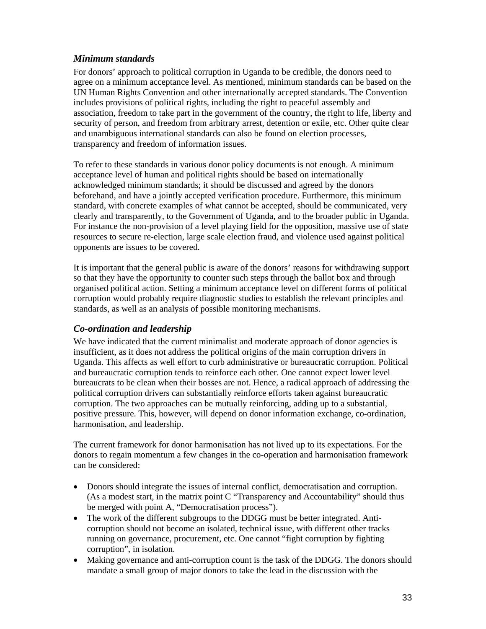#### *Minimum standards*

For donors' approach to political corruption in Uganda to be credible, the donors need to agree on a minimum acceptance level. As mentioned, minimum standards can be based on the UN Human Rights Convention and other internationally accepted standards. The Convention includes provisions of political rights, including the right to peaceful assembly and association, freedom to take part in the government of the country, the right to life, liberty and security of person, and freedom from arbitrary arrest, detention or exile, etc. Other quite clear and unambiguous international standards can also be found on election processes, transparency and freedom of information issues.

To refer to these standards in various donor policy documents is not enough. A minimum acceptance level of human and political rights should be based on internationally acknowledged minimum standards; it should be discussed and agreed by the donors beforehand, and have a jointly accepted verification procedure. Furthermore, this minimum standard, with concrete examples of what cannot be accepted, should be communicated, very clearly and transparently, to the Government of Uganda, and to the broader public in Uganda. For instance the non-provision of a level playing field for the opposition, massive use of state resources to secure re-election, large scale election fraud, and violence used against political opponents are issues to be covered.

It is important that the general public is aware of the donors' reasons for withdrawing support so that they have the opportunity to counter such steps through the ballot box and through organised political action. Setting a minimum acceptance level on different forms of political corruption would probably require diagnostic studies to establish the relevant principles and standards, as well as an analysis of possible monitoring mechanisms.

#### *Co-ordination and leadership*

We have indicated that the current minimalist and moderate approach of donor agencies is insufficient, as it does not address the political origins of the main corruption drivers in Uganda. This affects as well effort to curb administrative or bureaucratic corruption. Political and bureaucratic corruption tends to reinforce each other. One cannot expect lower level bureaucrats to be clean when their bosses are not. Hence, a radical approach of addressing the political corruption drivers can substantially reinforce efforts taken against bureaucratic corruption. The two approaches can be mutually reinforcing, adding up to a substantial, positive pressure. This, however, will depend on donor information exchange, co-ordination, harmonisation, and leadership.

The current framework for donor harmonisation has not lived up to its expectations. For the donors to regain momentum a few changes in the co-operation and harmonisation framework can be considered:

- Donors should integrate the issues of internal conflict, democratisation and corruption. (As a modest start, in the matrix point C "Transparency and Accountability" should thus be merged with point A, "Democratisation process").
- The work of the different subgroups to the DDGG must be better integrated. Anticorruption should not become an isolated, technical issue, with different other tracks running on governance, procurement, etc. One cannot "fight corruption by fighting corruption", in isolation.
- Making governance and anti-corruption count is the task of the DDGG. The donors should mandate a small group of major donors to take the lead in the discussion with the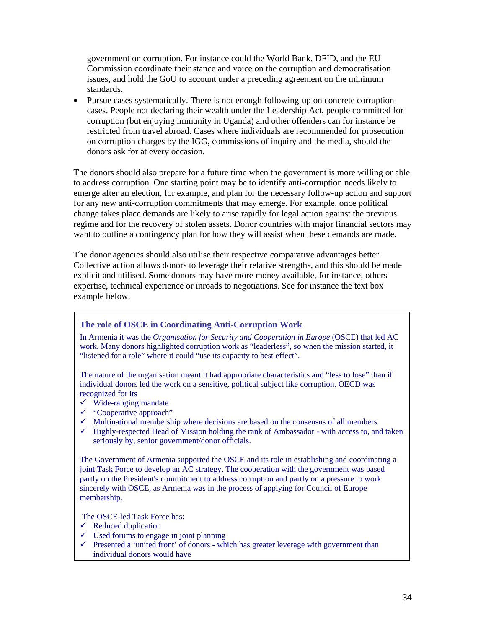government on corruption. For instance could the World Bank, DFID, and the EU Commission coordinate their stance and voice on the corruption and democratisation issues, and hold the GoU to account under a preceding agreement on the minimum standards.

• Pursue cases systematically. There is not enough following-up on concrete corruption cases. People not declaring their wealth under the Leadership Act, people committed for corruption (but enjoying immunity in Uganda) and other offenders can for instance be restricted from travel abroad. Cases where individuals are recommended for prosecution on corruption charges by the IGG, commissions of inquiry and the media, should the donors ask for at every occasion.

The donors should also prepare for a future time when the government is more willing or able to address corruption. One starting point may be to identify anti-corruption needs likely to emerge after an election, for example, and plan for the necessary follow-up action and support for any new anti-corruption commitments that may emerge. For example, once political change takes place demands are likely to arise rapidly for legal action against the previous regime and for the recovery of stolen assets. Donor countries with major financial sectors may want to outline a contingency plan for how they will assist when these demands are made.

The donor agencies should also utilise their respective comparative advantages better. Collective action allows donors to leverage their relative strengths, and this should be made explicit and utilised. Some donors may have more money available, for instance, others expertise, technical experience or inroads to negotiations. See for instance the text box example below.

#### **The role of OSCE in Coordinating Anti-Corruption Work**

In Armenia it was the *Organisation for Security and Cooperation in Europe* (OSCE) that led AC work. Many donors highlighted corruption work as "leaderless", so when the mission started, it "listened for a role" where it could "use its capacity to best effect".

The nature of the organisation meant it had appropriate characteristics and "less to lose" than if individual donors led the work on a sensitive, political subject like corruption. OECD was recognized for its

- $\checkmark$  Wide-ranging mandate
- $\checkmark$  "Cooperative approach"
- $\checkmark$  Multinational membership where decisions are based on the consensus of all members
- $\checkmark$  Highly-respected Head of Mission holding the rank of Ambassador with access to, and taken seriously by, senior government/donor officials.

The Government of Armenia supported the OSCE and its role in establishing and coordinating a joint Task Force to develop an AC strategy. The cooperation with the government was based partly on the President's commitment to address corruption and partly on a pressure to work sincerely with OSCE, as Armenia was in the process of applying for Council of Europe membership.

The OSCE-led Task Force has:

- $\checkmark$  Reduced duplication
- $\checkmark$  Used forums to engage in joint planning
- $\checkmark$  Presented a 'united front' of donors which has greater leverage with government than individual donors would have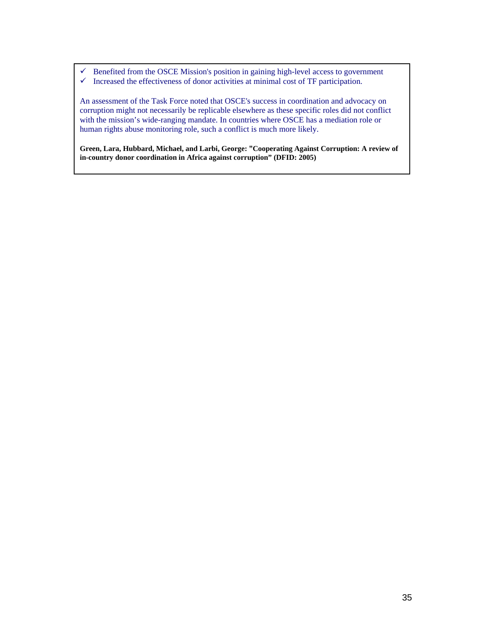$\checkmark$  Benefited from the OSCE Mission's position in gaining high-level access to government  $\checkmark$  Increased the effectiveness of donor activities at minimal cost of TF participation.

An assessment of the Task Force noted that OSCE's success in coordination and advocacy on corruption might not necessarily be replicable elsewhere as these specific roles did not conflict with the mission's wide-ranging mandate. In countries where OSCE has a mediation role or human rights abuse monitoring role, such a conflict is much more likely.

**Green, Lara, Hubbard, Michael, and Larbi, George: "Cooperating Against Corruption: A review of in-country donor coordination in Africa against corruption" (DFID: 2005)**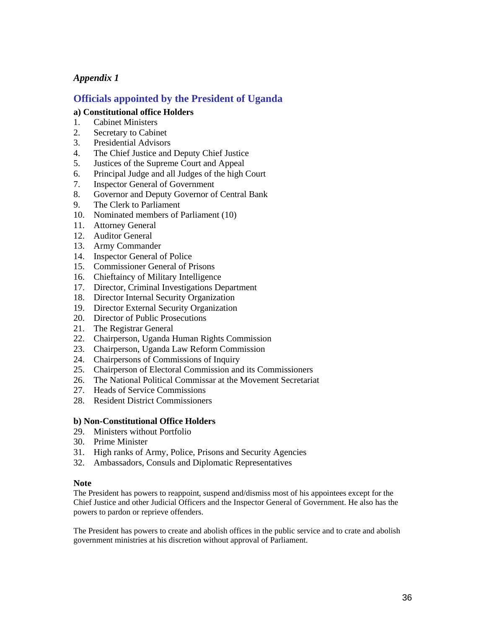#### **Officials appointed by the President of Uganda**

#### **a) Constitutional office Holders**

- 1. Cabinet Ministers
- 2. Secretary to Cabinet
- 3. Presidential Advisors
- 4. The Chief Justice and Deputy Chief Justice<br>5. Justices of the Supreme Court and Appeal
- 5. Justices of the Supreme Court and Appeal
- 6. Principal Judge and all Judges of the high Court
- 7. Inspector General of Government
- 8. Governor and Deputy Governor of Central Bank
- 9. The Clerk to Parliament
- 10. Nominated members of Parliament (10)
- 11. Attorney General
- 12. Auditor General
- 13. Army Commander
- 14. Inspector General of Police
- 15. Commissioner General of Prisons
- 16. Chieftaincy of Military Intelligence
- 17. Director, Criminal Investigations Department
- 18. Director Internal Security Organization
- 19. Director External Security Organization
- 20. Director of Public Prosecutions
- 21. The Registrar General
- 22. Chairperson, Uganda Human Rights Commission
- 23. Chairperson, Uganda Law Reform Commission
- 24. Chairpersons of Commissions of Inquiry
- 25. Chairperson of Electoral Commission and its Commissioners
- 26. The National Political Commissar at the Movement Secretariat
- 27. Heads of Service Commissions
- 28. Resident District Commissioners

#### **b) Non-Constitutional Office Holders**

- 29. Ministers without Portfolio
- 30. Prime Minister
- 31. High ranks of Army, Police, Prisons and Security Agencies
- 32. Ambassadors, Consuls and Diplomatic Representatives

#### **Note**

The President has powers to reappoint, suspend and/dismiss most of his appointees except for the Chief Justice and other Judicial Officers and the Inspector General of Government. He also has the powers to pardon or reprieve offenders.

The President has powers to create and abolish offices in the public service and to crate and abolish government ministries at his discretion without approval of Parliament.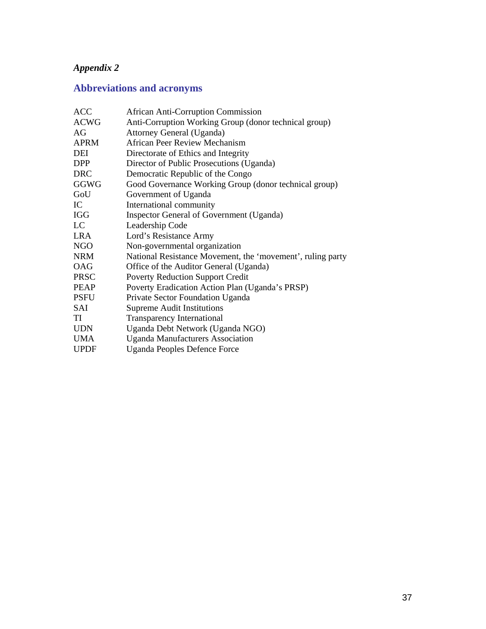# **Abbreviations and acronyms**

| <b>ACC</b>  | <b>African Anti-Corruption Commission</b>                  |
|-------------|------------------------------------------------------------|
| <b>ACWG</b> | Anti-Corruption Working Group (donor technical group)      |
| AG          | Attorney General (Uganda)                                  |
| <b>APRM</b> | <b>African Peer Review Mechanism</b>                       |
| DEI         | Directorate of Ethics and Integrity                        |
| <b>DPP</b>  | Director of Public Prosecutions (Uganda)                   |
| <b>DRC</b>  | Democratic Republic of the Congo                           |
| GGWG        | Good Governance Working Group (donor technical group)      |
| GoU         | Government of Uganda                                       |
| IC          | International community                                    |
| <b>IGG</b>  | Inspector General of Government (Uganda)                   |
| LC          | Leadership Code                                            |
| <b>LRA</b>  | Lord's Resistance Army                                     |
| <b>NGO</b>  | Non-governmental organization                              |
| <b>NRM</b>  | National Resistance Movement, the 'movement', ruling party |
| <b>OAG</b>  | Office of the Auditor General (Uganda)                     |
| <b>PRSC</b> | <b>Poverty Reduction Support Credit</b>                    |
| <b>PEAP</b> | Poverty Eradication Action Plan (Uganda's PRSP)            |
| <b>PSFU</b> | Private Sector Foundation Uganda                           |
| SAI         | <b>Supreme Audit Institutions</b>                          |
| TI          | <b>Transparency International</b>                          |
| <b>UDN</b>  | Uganda Debt Network (Uganda NGO)                           |
| <b>UMA</b>  | <b>Uganda Manufacturers Association</b>                    |
| <b>UPDF</b> | <b>Uganda Peoples Defence Force</b>                        |
|             |                                                            |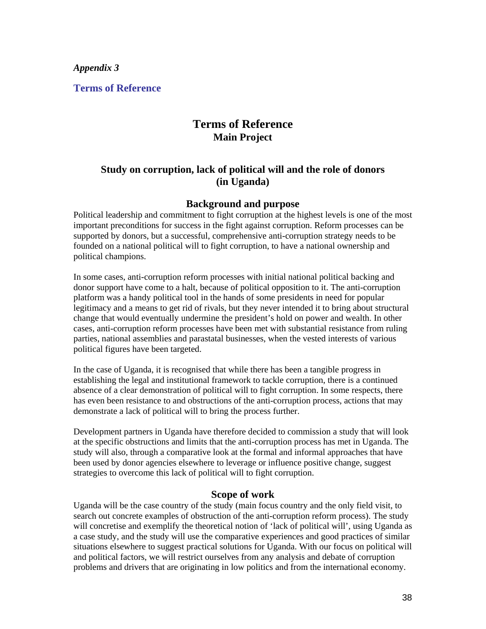**Terms of Reference** 

### **Terms of Reference Main Project**

#### **Study on corruption, lack of political will and the role of donors (in Uganda)**

#### **Background and purpose**

Political leadership and commitment to fight corruption at the highest levels is one of the most important preconditions for success in the fight against corruption. Reform processes can be supported by donors, but a successful, comprehensive anti-corruption strategy needs to be founded on a national political will to fight corruption, to have a national ownership and political champions.

In some cases, anti-corruption reform processes with initial national political backing and donor support have come to a halt, because of political opposition to it. The anti-corruption platform was a handy political tool in the hands of some presidents in need for popular legitimacy and a means to get rid of rivals, but they never intended it to bring about structural change that would eventually undermine the president's hold on power and wealth. In other cases, anti-corruption reform processes have been met with substantial resistance from ruling parties, national assemblies and parastatal businesses, when the vested interests of various political figures have been targeted.

In the case of Uganda, it is recognised that while there has been a tangible progress in establishing the legal and institutional framework to tackle corruption, there is a continued absence of a clear demonstration of political will to fight corruption. In some respects, there has even been resistance to and obstructions of the anti-corruption process, actions that may demonstrate a lack of political will to bring the process further.

Development partners in Uganda have therefore decided to commission a study that will look at the specific obstructions and limits that the anti-corruption process has met in Uganda. The study will also, through a comparative look at the formal and informal approaches that have been used by donor agencies elsewhere to leverage or influence positive change, suggest strategies to overcome this lack of political will to fight corruption.

#### **Scope of work**

Uganda will be the case country of the study (main focus country and the only field visit, to search out concrete examples of obstruction of the anti-corruption reform process). The study will concretise and exemplify the theoretical notion of 'lack of political will', using Uganda as a case study, and the study will use the comparative experiences and good practices of similar situations elsewhere to suggest practical solutions for Uganda. With our focus on political will and political factors, we will restrict ourselves from any analysis and debate of corruption problems and drivers that are originating in low politics and from the international economy.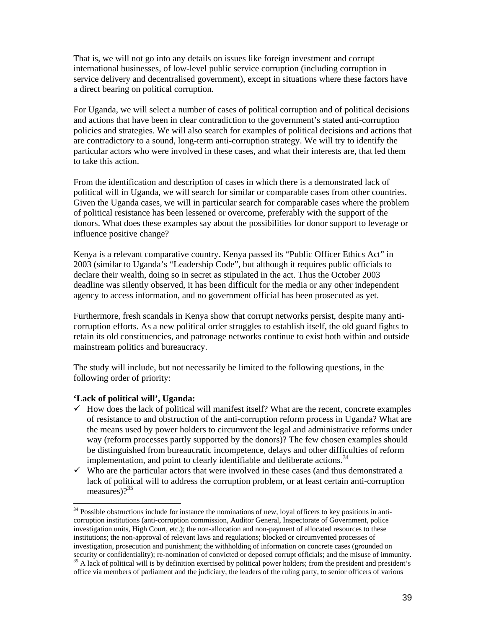That is, we will not go into any details on issues like foreign investment and corrupt international businesses, of low-level public service corruption (including corruption in service delivery and decentralised government), except in situations where these factors have a direct bearing on political corruption.

For Uganda, we will select a number of cases of political corruption and of political decisions and actions that have been in clear contradiction to the government's stated anti-corruption policies and strategies. We will also search for examples of political decisions and actions that are contradictory to a sound, long-term anti-corruption strategy. We will try to identify the particular actors who were involved in these cases, and what their interests are, that led them to take this action.

From the identification and description of cases in which there is a demonstrated lack of political will in Uganda, we will search for similar or comparable cases from other countries. Given the Uganda cases, we will in particular search for comparable cases where the problem of political resistance has been lessened or overcome, preferably with the support of the donors. What does these examples say about the possibilities for donor support to leverage or influence positive change?

Kenya is a relevant comparative country. Kenya passed its "Public Officer Ethics Act" in 2003 (similar to Uganda's "Leadership Code", but although it requires public officials to declare their wealth, doing so in secret as stipulated in the act. Thus the October 2003 deadline was silently observed, it has been difficult for the media or any other independent agency to access information, and no government official has been prosecuted as yet.

Furthermore, fresh scandals in Kenya show that corrupt networks persist, despite many anticorruption efforts. As a new political order struggles to establish itself, the old guard fights to retain its old constituencies, and patronage networks continue to exist both within and outside mainstream politics and bureaucracy.

The study will include, but not necessarily be limited to the following questions, in the following order of priority:

#### **'Lack of political will', Uganda:**

- $\checkmark$  How does the lack of political will manifest itself? What are the recent, concrete examples of resistance to and obstruction of the anti-corruption reform process in Uganda? What are the means used by power holders to circumvent the legal and administrative reforms under way (reform processes partly supported by the donors)? The few chosen examples should be distinguished from bureaucratic incompetence, delays and other difficulties of reform implementation, and point to clearly identifiable and deliberate actions.<sup>34</sup>
- $\checkmark$  Who are the particular actors that were involved in these cases (and thus demonstrated a lack of political will to address the corruption problem, or at least certain anti-corruption measures)? $35$

 $\overline{a}$ <sup>34</sup> Possible obstructions include for instance the nominations of new, loyal officers to key positions in anticorruption institutions (anti-corruption commission, Auditor General, Inspectorate of Government, police investigation units, High Court, etc.); the non-allocation and non-payment of allocated resources to these institutions; the non-approval of relevant laws and regulations; blocked or circumvented processes of investigation, prosecution and punishment; the withholding of information on concrete cases (grounded on security or confidentiality); re-nomination of convicted or deposed corrupt officials; and the misuse of immunity. 35 A lack of political will is by definition exercised by political power holders; from the president and president's

office via members of parliament and the judiciary, the leaders of the ruling party, to senior officers of various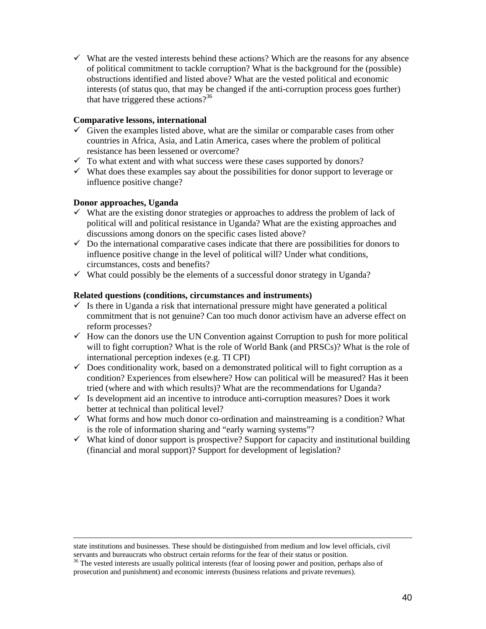$\checkmark$  What are the vested interests behind these actions? Which are the reasons for any absence of political commitment to tackle corruption? What is the background for the (possible) obstructions identified and listed above? What are the vested political and economic interests (of status quo, that may be changed if the anti-corruption process goes further) that have triggered these actions?<sup>36</sup>

#### **Comparative lessons, international**

- $\checkmark$  Given the examples listed above, what are the similar or comparable cases from other countries in Africa, Asia, and Latin America, cases where the problem of political resistance has been lessened or overcome?
- $\checkmark$  To what extent and with what success were these cases supported by donors?
- $\checkmark$  What does these examples say about the possibilities for donor support to leverage or influence positive change?

#### **Donor approaches, Uganda**

 $\overline{a}$ 

- $\checkmark$  What are the existing donor strategies or approaches to address the problem of lack of political will and political resistance in Uganda? What are the existing approaches and discussions among donors on the specific cases listed above?
- $\checkmark$  Do the international comparative cases indicate that there are possibilities for donors to influence positive change in the level of political will? Under what conditions, circumstances, costs and benefits?
- $\checkmark$  What could possibly be the elements of a successful donor strategy in Uganda?

#### **Related questions (conditions, circumstances and instruments)**

- $\checkmark$  Is there in Uganda a risk that international pressure might have generated a political commitment that is not genuine? Can too much donor activism have an adverse effect on reform processes?
- $\checkmark$  How can the donors use the UN Convention against Corruption to push for more political will to fight corruption? What is the role of World Bank (and PRSCs)? What is the role of international perception indexes (e.g. TI CPI)
- $\checkmark$  Does conditionality work, based on a demonstrated political will to fight corruption as a condition? Experiences from elsewhere? How can political will be measured? Has it been tried (where and with which results)? What are the recommendations for Uganda?
- $\checkmark$  Is development aid an incentive to introduce anti-corruption measures? Does it work better at technical than political level?
- $\checkmark$  What forms and how much donor co-ordination and mainstreaming is a condition? What is the role of information sharing and "early warning systems"?
- $\checkmark$  What kind of donor support is prospective? Support for capacity and institutional building (financial and moral support)? Support for development of legislation?

state institutions and businesses. These should be distinguished from medium and low level officials, civil servants and bureaucrats who obstruct certain reforms for the fear of their status or position.

<sup>&</sup>lt;sup>36</sup> The vested interests are usually political interests (fear of loosing power and position, perhaps also of prosecution and punishment) and economic interests (business relations and private revenues).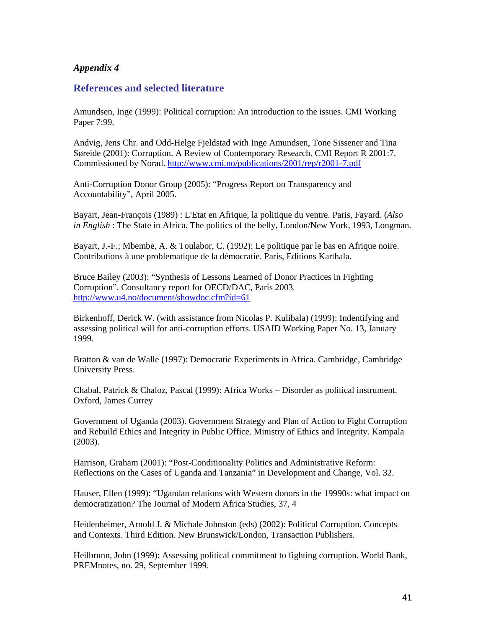#### **References and selected literature**

Amundsen, Inge (1999): Political corruption: An introduction to the issues. CMI Working Paper 7:99.

Andvig, Jens Chr. and Odd-Helge Fjeldstad with Inge Amundsen, Tone Sissener and Tina Søreide (2001): Corruption. A Review of Contemporary Research. CMI Report R 2001:7. Commissioned by Norad. http://www.cmi.no/publications/2001/rep/r2001-7.pdf

Anti-Corruption Donor Group (2005): "Progress Report on Transparency and Accountability", April 2005.

Bayart, Jean-François (1989) : L'Etat en Afrique, la politique du ventre. Paris, Fayard. (*Also in English* : The State in Africa. The politics of the belly, London/New York, 1993, Longman.

Bayart, J.-F.; Mbembe, A. & Toulabor, C. (1992): Le politique par le bas en Afrique noire. Contributions à une problematique de la démocratie. Paris, Editions Karthala.

Bruce Bailey (2003): "Synthesis of Lessons Learned of Donor Practices in Fighting Corruption". Consultancy report for OECD/DAC, Paris 2003. http://www.u4.no/document/showdoc.cfm?id=61

Birkenhoff, Derick W. (with assistance from Nicolas P. Kulibala) (1999): Indentifying and assessing political will for anti-corruption efforts. USAID Working Paper No. 13, January 1999.

Bratton & van de Walle (1997): Democratic Experiments in Africa. Cambridge, Cambridge University Press.

Chabal, Patrick & Chaloz, Pascal (1999): Africa Works – Disorder as political instrument. Oxford, James Currey

Government of Uganda (2003). Government Strategy and Plan of Action to Fight Corruption and Rebuild Ethics and Integrity in Public Office. Ministry of Ethics and Integrity. Kampala (2003).

Harrison, Graham (2001): "Post-Conditionality Politics and Administrative Reform: Reflections on the Cases of Uganda and Tanzania" in Development and Change, Vol. 32.

Hauser, Ellen (1999): "Ugandan relations with Western donors in the 19990s: what impact on democratization? The Journal of Modern Africa Studies, 37, 4

Heidenheimer, Arnold J. & Michale Johnston (eds) (2002): Political Corruption. Concepts and Contexts. Third Edition. New Brunswick/London, Transaction Publishers.

Heilbrunn, John (1999): Assessing political commitment to fighting corruption. World Bank, PREMnotes, no. 29, September 1999.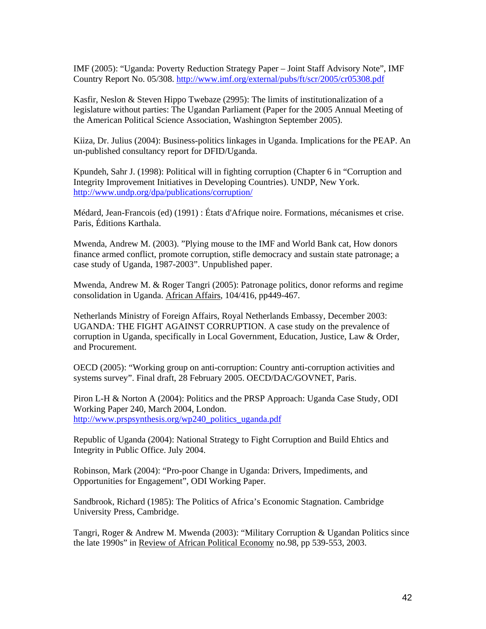IMF (2005): "Uganda: Poverty Reduction Strategy Paper – Joint Staff Advisory Note", IMF Country Report No. 05/308. http://www.imf.org/external/pubs/ft/scr/2005/cr05308.pdf

Kasfir, Neslon & Steven Hippo Twebaze (2995): The limits of institutionalization of a legislature without parties: The Ugandan Parliament (Paper for the 2005 Annual Meeting of the American Political Science Association, Washington September 2005).

Kiiza, Dr. Julius (2004): Business-politics linkages in Uganda. Implications for the PEAP. An un-published consultancy report for DFID/Uganda.

Kpundeh, Sahr J. (1998): Political will in fighting corruption (Chapter 6 in "Corruption and Integrity Improvement Initiatives in Developing Countries). UNDP, New York. http://www.undp.org/dpa/publications/corruption/

Médard, Jean-Francois (ed) (1991) : États d'Afrique noire. Formations, mécanismes et crise. Paris, Éditions Karthala.

Mwenda, Andrew M. (2003). "Plying mouse to the IMF and World Bank cat, How donors finance armed conflict, promote corruption, stifle democracy and sustain state patronage; a case study of Uganda, 1987-2003". Unpublished paper.

Mwenda, Andrew M. & Roger Tangri (2005): Patronage politics, donor reforms and regime consolidation in Uganda. African Affairs, 104/416, pp449-467.

Netherlands Ministry of Foreign Affairs, Royal Netherlands Embassy, December 2003: UGANDA: THE FIGHT AGAINST CORRUPTION. A case study on the prevalence of corruption in Uganda, specifically in Local Government, Education, Justice, Law & Order, and Procurement.

OECD (2005): "Working group on anti-corruption: Country anti-corruption activities and systems survey". Final draft, 28 February 2005. OECD/DAC/GOVNET, Paris.

Piron L-H & Norton A (2004): Politics and the PRSP Approach: Uganda Case Study, ODI Working Paper 240, March 2004, London. http://www.prspsynthesis.org/wp240\_politics\_uganda.pdf

Republic of Uganda (2004): National Strategy to Fight Corruption and Build Ehtics and Integrity in Public Office. July 2004.

Robinson, Mark (2004): "Pro-poor Change in Uganda: Drivers, Impediments, and Opportunities for Engagement", ODI Working Paper.

Sandbrook, Richard (1985): The Politics of Africa's Economic Stagnation. Cambridge University Press, Cambridge.

Tangri, Roger & Andrew M. Mwenda (2003): "Military Corruption & Ugandan Politics since the late 1990s" in Review of African Political Economy no.98, pp 539-553, 2003.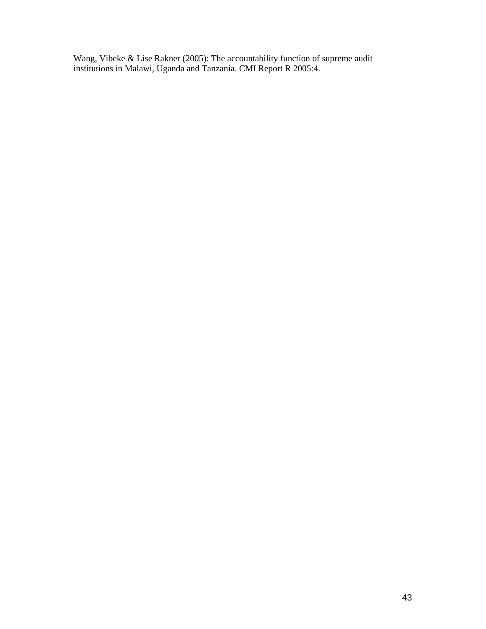Wang, Vibeke & Lise Rakner (2005): The accountability function of supreme audit institutions in Malawi, Uganda and Tanzania. CMI Report R 2005:4.